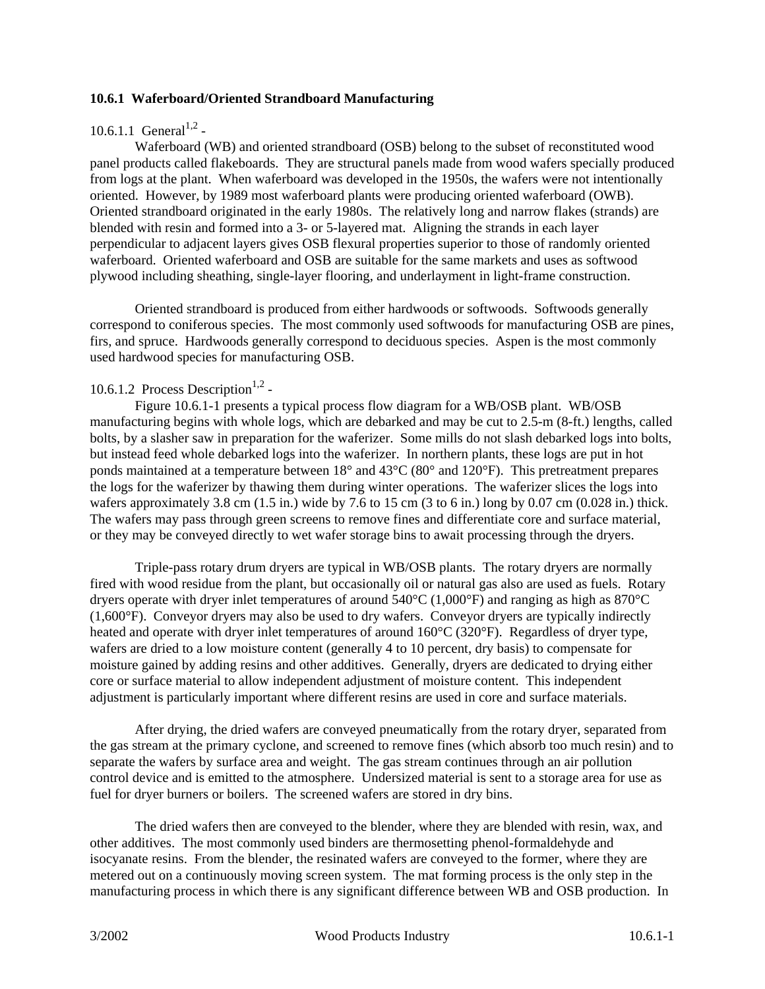#### **10.6.1 Waferboard/Oriented Strandboard Manufacturing**

# 10.6.1.1 General<sup>1,2</sup> -

Waferboard (WB) and oriented strandboard (OSB) belong to the subset of reconstituted wood panel products called flakeboards. They are structural panels made from wood wafers specially produced from logs at the plant. When waferboard was developed in the 1950s, the wafers were not intentionally oriented. However, by 1989 most waferboard plants were producing oriented waferboard (OWB). Oriented strandboard originated in the early 1980s. The relatively long and narrow flakes (strands) are blended with resin and formed into a 3- or 5-layered mat. Aligning the strands in each layer perpendicular to adjacent layers gives OSB flexural properties superior to those of randomly oriented waferboard. Oriented waferboard and OSB are suitable for the same markets and uses as softwood plywood including sheathing, single-layer flooring, and underlayment in light-frame construction.

Oriented strandboard is produced from either hardwoods or softwoods. Softwoods generally correspond to coniferous species. The most commonly used softwoods for manufacturing OSB are pines, firs, and spruce. Hardwoods generally correspond to deciduous species. Aspen is the most commonly used hardwood species for manufacturing OSB.

# 10.6.1.2 Process Description<sup>1,2</sup> -

Figure 10.6.1-1 presents a typical process flow diagram for a WB/OSB plant. WB/OSB manufacturing begins with whole logs, which are debarked and may be cut to 2.5-m (8-ft.) lengths, called bolts, by a slasher saw in preparation for the waferizer. Some mills do not slash debarked logs into bolts, but instead feed whole debarked logs into the waferizer. In northern plants, these logs are put in hot ponds maintained at a temperature between 18° and 43°C (80° and 120°F). This pretreatment prepares the logs for the waferizer by thawing them during winter operations. The waferizer slices the logs into wafers approximately 3.8 cm (1.5 in.) wide by 7.6 to 15 cm (3 to 6 in.) long by 0.07 cm (0.028 in.) thick. The wafers may pass through green screens to remove fines and differentiate core and surface material, or they may be conveyed directly to wet wafer storage bins to await processing through the dryers.

Triple-pass rotary drum dryers are typical in WB/OSB plants. The rotary dryers are normally fired with wood residue from the plant, but occasionally oil or natural gas also are used as fuels. Rotary dryers operate with dryer inlet temperatures of around 540°C (1,000°F) and ranging as high as 870°C (1,600°F). Conveyor dryers may also be used to dry wafers. Conveyor dryers are typically indirectly heated and operate with dryer inlet temperatures of around  $160^{\circ}$ C (320°F). Regardless of dryer type, wafers are dried to a low moisture content (generally 4 to 10 percent, dry basis) to compensate for moisture gained by adding resins and other additives. Generally, dryers are dedicated to drying either core or surface material to allow independent adjustment of moisture content. This independent adjustment is particularly important where different resins are used in core and surface materials.

After drying, the dried wafers are conveyed pneumatically from the rotary dryer, separated from the gas stream at the primary cyclone, and screened to remove fines (which absorb too much resin) and to separate the wafers by surface area and weight. The gas stream continues through an air pollution control device and is emitted to the atmosphere. Undersized material is sent to a storage area for use as fuel for dryer burners or boilers. The screened wafers are stored in dry bins.

The dried wafers then are conveyed to the blender, where they are blended with resin, wax, and other additives. The most commonly used binders are thermosetting phenol-formaldehyde and isocyanate resins. From the blender, the resinated wafers are conveyed to the former, where they are metered out on a continuously moving screen system. The mat forming process is the only step in the manufacturing process in which there is any significant difference between WB and OSB production. In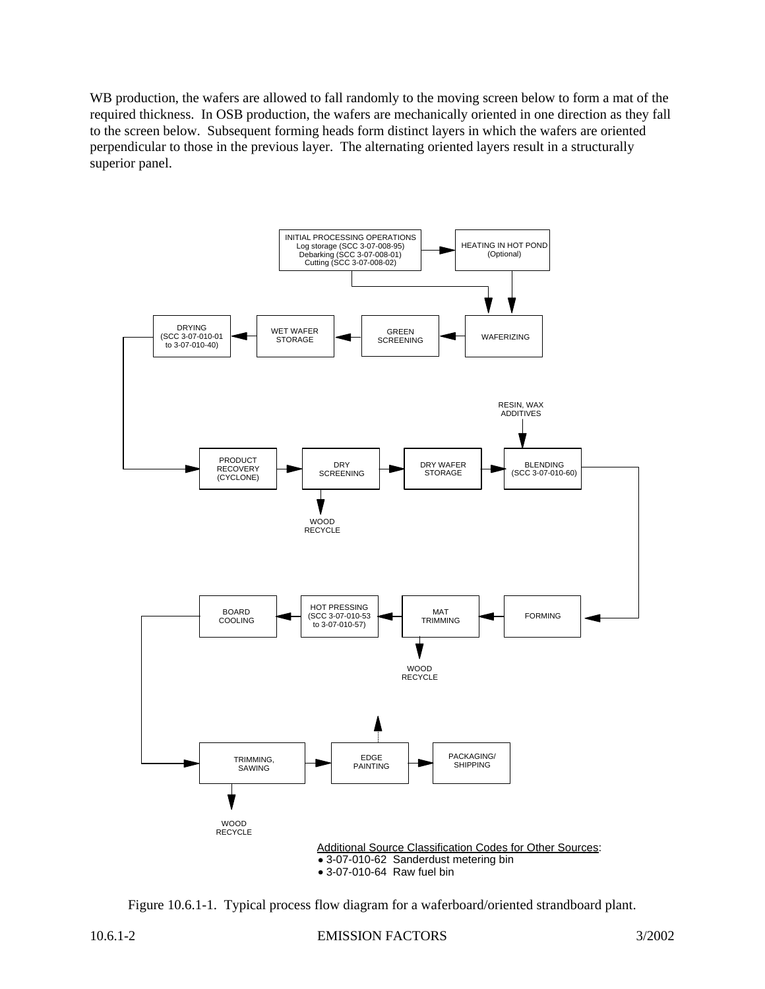WB production, the wafers are allowed to fall randomly to the moving screen below to form a mat of the required thickness. In OSB production, the wafers are mechanically oriented in one direction as they fall to the screen below. Subsequent forming heads form distinct layers in which the wafers are oriented perpendicular to those in the previous layer. The alternating oriented layers result in a structurally superior panel.



Figure 10.6.1-1. Typical process flow diagram for a waferboard/oriented strandboard plant.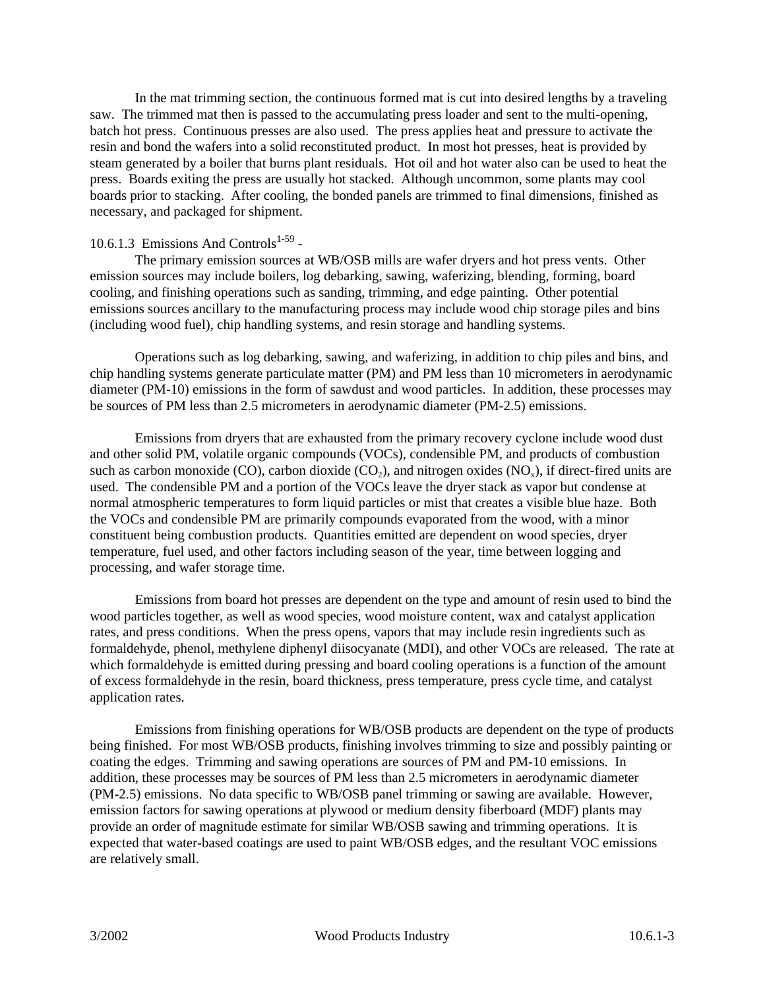In the mat trimming section, the continuous formed mat is cut into desired lengths by a traveling saw. The trimmed mat then is passed to the accumulating press loader and sent to the multi-opening, batch hot press. Continuous presses are also used. The press applies heat and pressure to activate the resin and bond the wafers into a solid reconstituted product. In most hot presses, heat is provided by steam generated by a boiler that burns plant residuals. Hot oil and hot water also can be used to heat the press. Boards exiting the press are usually hot stacked. Although uncommon, some plants may cool boards prior to stacking. After cooling, the bonded panels are trimmed to final dimensions, finished as necessary, and packaged for shipment.

# 10.6.1.3 Emissions And Controls $1-59$ .

The primary emission sources at WB/OSB mills are wafer dryers and hot press vents. Other emission sources may include boilers, log debarking, sawing, waferizing, blending, forming, board cooling, and finishing operations such as sanding, trimming, and edge painting. Other potential emissions sources ancillary to the manufacturing process may include wood chip storage piles and bins (including wood fuel), chip handling systems, and resin storage and handling systems.

Operations such as log debarking, sawing, and waferizing, in addition to chip piles and bins, and chip handling systems generate particulate matter (PM) and PM less than 10 micrometers in aerodynamic diameter (PM-10) emissions in the form of sawdust and wood particles. In addition, these processes may be sources of PM less than 2.5 micrometers in aerodynamic diameter (PM-2.5) emissions.

Emissions from dryers that are exhausted from the primary recovery cyclone include wood dust and other solid PM, volatile organic compounds (VOCs), condensible PM, and products of combustion such as carbon monoxide (CO), carbon dioxide  $(CO_2)$ , and nitrogen oxides (NO<sub>x</sub>), if direct-fired units are used. The condensible PM and a portion of the VOCs leave the dryer stack as vapor but condense at normal atmospheric temperatures to form liquid particles or mist that creates a visible blue haze. Both the VOCs and condensible PM are primarily compounds evaporated from the wood, with a minor constituent being combustion products. Quantities emitted are dependent on wood species, dryer temperature, fuel used, and other factors including season of the year, time between logging and processing, and wafer storage time.

Emissions from board hot presses are dependent on the type and amount of resin used to bind the wood particles together, as well as wood species, wood moisture content, wax and catalyst application rates, and press conditions. When the press opens, vapors that may include resin ingredients such as formaldehyde, phenol, methylene diphenyl diisocyanate (MDI), and other VOCs are released. The rate at which formaldehyde is emitted during pressing and board cooling operations is a function of the amount of excess formaldehyde in the resin, board thickness, press temperature, press cycle time, and catalyst application rates.

Emissions from finishing operations for WB/OSB products are dependent on the type of products being finished. For most WB/OSB products, finishing involves trimming to size and possibly painting or coating the edges. Trimming and sawing operations are sources of PM and PM-10 emissions. In addition, these processes may be sources of PM less than 2.5 micrometers in aerodynamic diameter (PM-2.5) emissions. No data specific to WB/OSB panel trimming or sawing are available. However, emission factors for sawing operations at plywood or medium density fiberboard (MDF) plants may provide an order of magnitude estimate for similar WB/OSB sawing and trimming operations. It is expected that water-based coatings are used to paint WB/OSB edges, and the resultant VOC emissions are relatively small.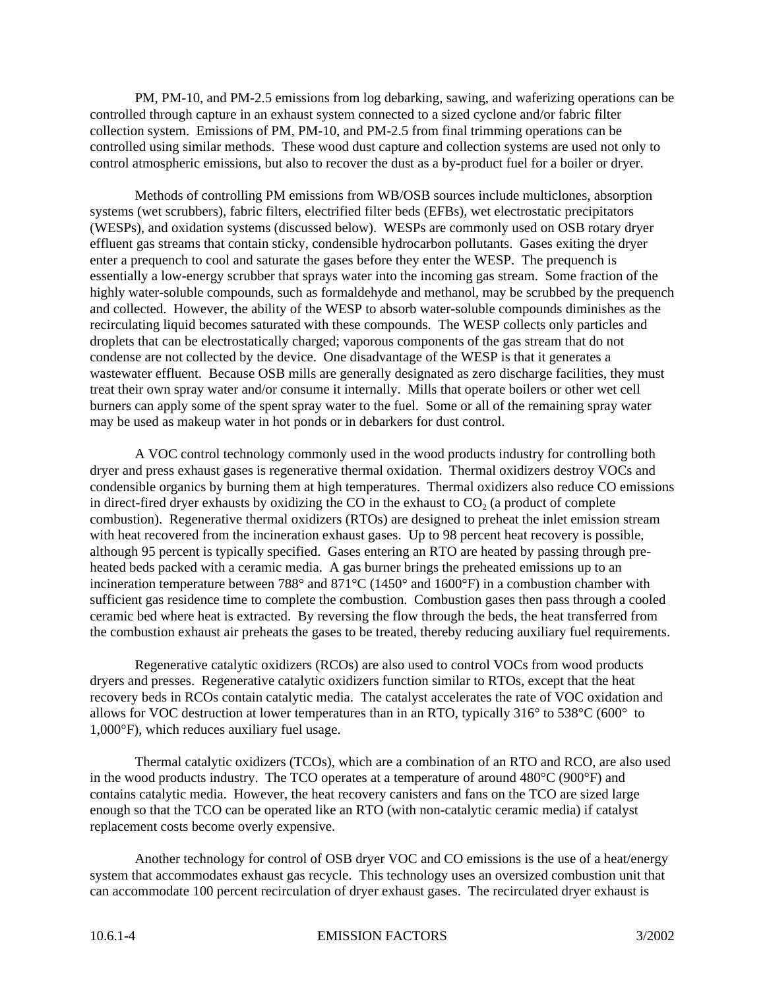PM, PM-10, and PM-2.5 emissions from log debarking, sawing, and waferizing operations can be controlled through capture in an exhaust system connected to a sized cyclone and/or fabric filter collection system. Emissions of PM, PM-10, and PM-2.5 from final trimming operations can be controlled using similar methods. These wood dust capture and collection systems are used not only to control atmospheric emissions, but also to recover the dust as a by-product fuel for a boiler or dryer.

Methods of controlling PM emissions from WB/OSB sources include multiclones, absorption systems (wet scrubbers), fabric filters, electrified filter beds (EFBs), wet electrostatic precipitators (WESPs), and oxidation systems (discussed below). WESPs are commonly used on OSB rotary dryer effluent gas streams that contain sticky, condensible hydrocarbon pollutants. Gases exiting the dryer enter a prequench to cool and saturate the gases before they enter the WESP. The prequench is essentially a low-energy scrubber that sprays water into the incoming gas stream. Some fraction of the highly water-soluble compounds, such as formaldehyde and methanol, may be scrubbed by the prequench and collected. However, the ability of the WESP to absorb water-soluble compounds diminishes as the recirculating liquid becomes saturated with these compounds. The WESP collects only particles and droplets that can be electrostatically charged; vaporous components of the gas stream that do not condense are not collected by the device. One disadvantage of the WESP is that it generates a wastewater effluent. Because OSB mills are generally designated as zero discharge facilities, they must treat their own spray water and/or consume it internally. Mills that operate boilers or other wet cell burners can apply some of the spent spray water to the fuel. Some or all of the remaining spray water may be used as makeup water in hot ponds or in debarkers for dust control.

A VOC control technology commonly used in the wood products industry for controlling both dryer and press exhaust gases is regenerative thermal oxidation. Thermal oxidizers destroy VOCs and condensible organics by burning them at high temperatures. Thermal oxidizers also reduce CO emissions in direct-fired dryer exhausts by oxidizing the CO in the exhaust to  $CO<sub>2</sub>$  (a product of complete combustion). Regenerative thermal oxidizers (RTOs) are designed to preheat the inlet emission stream with heat recovered from the incineration exhaust gases. Up to 98 percent heat recovery is possible, although 95 percent is typically specified. Gases entering an RTO are heated by passing through preheated beds packed with a ceramic media. A gas burner brings the preheated emissions up to an incineration temperature between 788° and 871°C (1450° and 1600°F) in a combustion chamber with sufficient gas residence time to complete the combustion. Combustion gases then pass through a cooled ceramic bed where heat is extracted. By reversing the flow through the beds, the heat transferred from the combustion exhaust air preheats the gases to be treated, thereby reducing auxiliary fuel requirements.

Regenerative catalytic oxidizers (RCOs) are also used to control VOCs from wood products dryers and presses. Regenerative catalytic oxidizers function similar to RTOs, except that the heat recovery beds in RCOs contain catalytic media. The catalyst accelerates the rate of VOC oxidation and allows for VOC destruction at lower temperatures than in an RTO, typically 316° to 538°C (600° to 1,000°F), which reduces auxiliary fuel usage.

Thermal catalytic oxidizers (TCOs), which are a combination of an RTO and RCO, are also used in the wood products industry. The TCO operates at a temperature of around 480°C (900°F) and contains catalytic media. However, the heat recovery canisters and fans on the TCO are sized large enough so that the TCO can be operated like an RTO (with non-catalytic ceramic media) if catalyst replacement costs become overly expensive.

Another technology for control of OSB dryer VOC and CO emissions is the use of a heat/energy system that accommodates exhaust gas recycle. This technology uses an oversized combustion unit that can accommodate 100 percent recirculation of dryer exhaust gases. The recirculated dryer exhaust is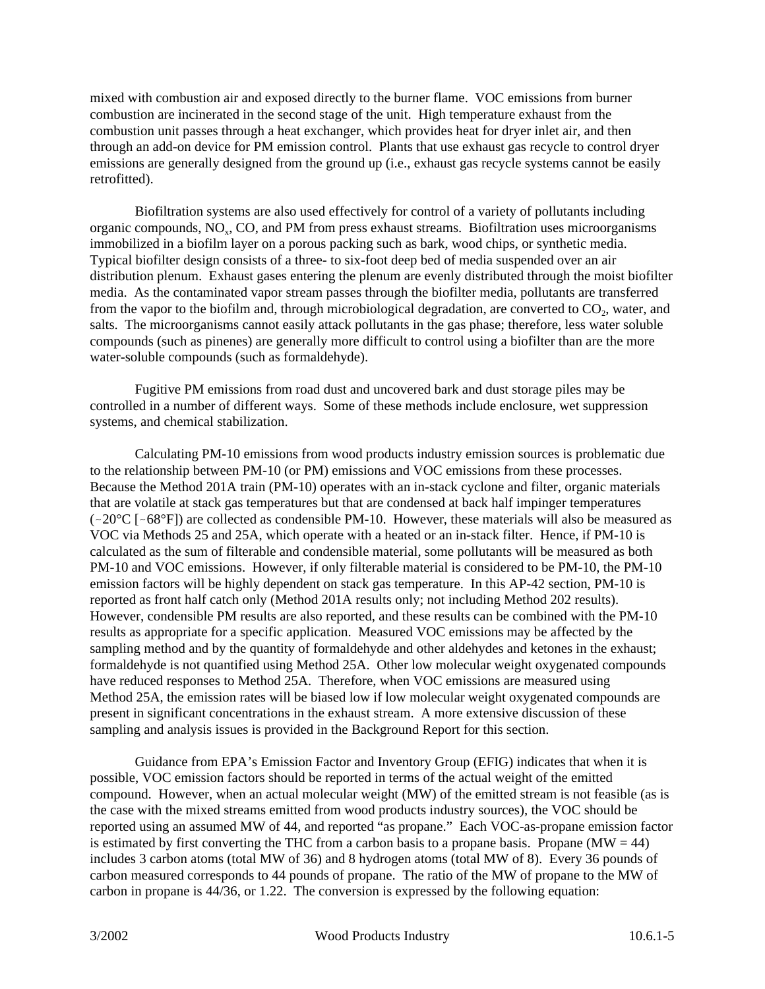mixed with combustion air and exposed directly to the burner flame. VOC emissions from burner combustion are incinerated in the second stage of the unit. High temperature exhaust from the combustion unit passes through a heat exchanger, which provides heat for dryer inlet air, and then through an add-on device for PM emission control. Plants that use exhaust gas recycle to control dryer emissions are generally designed from the ground up (i.e., exhaust gas recycle systems cannot be easily retrofitted).

Biofiltration systems are also used effectively for control of a variety of pollutants including organic compounds, NO<sub>x</sub>, CO, and PM from press exhaust streams. Biofiltration uses microorganisms immobilized in a biofilm layer on a porous packing such as bark, wood chips, or synthetic media. Typical biofilter design consists of a three- to six-foot deep bed of media suspended over an air distribution plenum. Exhaust gases entering the plenum are evenly distributed through the moist biofilter media. As the contaminated vapor stream passes through the biofilter media, pollutants are transferred from the vapor to the biofilm and, through microbiological degradation, are converted to  $CO_2$ , water, and salts. The microorganisms cannot easily attack pollutants in the gas phase; therefore, less water soluble compounds (such as pinenes) are generally more difficult to control using a biofilter than are the more water-soluble compounds (such as formaldehyde).

Fugitive PM emissions from road dust and uncovered bark and dust storage piles may be controlled in a number of different ways. Some of these methods include enclosure, wet suppression systems, and chemical stabilization.

Calculating PM-10 emissions from wood products industry emission sources is problematic due to the relationship between PM-10 (or PM) emissions and VOC emissions from these processes. Because the Method 201A train (PM-10) operates with an in-stack cyclone and filter, organic materials that are volatile at stack gas temperatures but that are condensed at back half impinger temperatures  $(\sim 20^{\circ}C$  [ $\sim 68^{\circ}F$ ]) are collected as condensible PM-10. However, these materials will also be measured as VOC via Methods 25 and 25A, which operate with a heated or an in-stack filter. Hence, if PM-10 is calculated as the sum of filterable and condensible material, some pollutants will be measured as both PM-10 and VOC emissions. However, if only filterable material is considered to be PM-10, the PM-10 emission factors will be highly dependent on stack gas temperature. In this AP-42 section, PM-10 is reported as front half catch only (Method 201A results only; not including Method 202 results). However, condensible PM results are also reported, and these results can be combined with the PM-10 results as appropriate for a specific application. Measured VOC emissions may be affected by the sampling method and by the quantity of formaldehyde and other aldehydes and ketones in the exhaust; formaldehyde is not quantified using Method 25A. Other low molecular weight oxygenated compounds have reduced responses to Method 25A. Therefore, when VOC emissions are measured using Method 25A, the emission rates will be biased low if low molecular weight oxygenated compounds are present in significant concentrations in the exhaust stream. A more extensive discussion of these sampling and analysis issues is provided in the Background Report for this section.

Guidance from EPA's Emission Factor and Inventory Group (EFIG) indicates that when it is possible, VOC emission factors should be reported in terms of the actual weight of the emitted compound. However, when an actual molecular weight (MW) of the emitted stream is not feasible (as is the case with the mixed streams emitted from wood products industry sources), the VOC should be reported using an assumed MW of 44, and reported "as propane." Each VOC-as-propane emission factor is estimated by first converting the THC from a carbon basis to a propane basis. Propane (MW  $=$  44) includes 3 carbon atoms (total MW of 36) and 8 hydrogen atoms (total MW of 8). Every 36 pounds of carbon measured corresponds to 44 pounds of propane. The ratio of the MW of propane to the MW of carbon in propane is 44/36, or 1.22. The conversion is expressed by the following equation: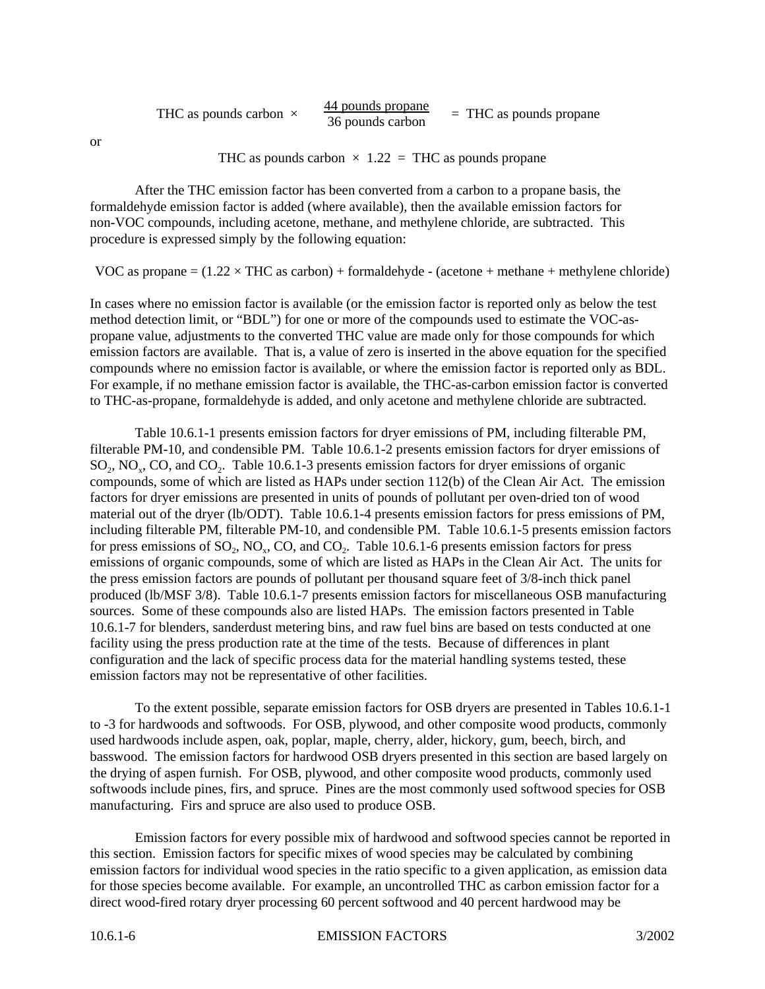| THC as pounds carbon $\times$ | 44 pounds propane<br>36 pounds carbon | $=$ THC as pounds propane |
|-------------------------------|---------------------------------------|---------------------------|
|-------------------------------|---------------------------------------|---------------------------|

or

THC as pounds carbon  $\times$  1.22 = THC as pounds propane

After the THC emission factor has been converted from a carbon to a propane basis, the formaldehyde emission factor is added (where available), then the available emission factors for non-VOC compounds, including acetone, methane, and methylene chloride, are subtracted. This procedure is expressed simply by the following equation:

VOC as propane  $=(1.22 \times \text{THC}$  as carbon) + formaldehyde - (acetone + methane + methylene chloride)

In cases where no emission factor is available (or the emission factor is reported only as below the test method detection limit, or "BDL") for one or more of the compounds used to estimate the VOC-aspropane value, adjustments to the converted THC value are made only for those compounds for which emission factors are available. That is, a value of zero is inserted in the above equation for the specified compounds where no emission factor is available, or where the emission factor is reported only as BDL. For example, if no methane emission factor is available, the THC-as-carbon emission factor is converted to THC-as-propane, formaldehyde is added, and only acetone and methylene chloride are subtracted.

Table 10.6.1-1 presents emission factors for dryer emissions of PM, including filterable PM, filterable PM-10, and condensible PM. Table 10.6.1-2 presents emission factors for dryer emissions of SO<sub>2</sub>, NO<sub>x</sub>, CO, and CO<sub>2</sub>. Table 10.6.1-3 presents emission factors for dryer emissions of organic compounds, some of which are listed as HAPs under section 112(b) of the Clean Air Act. The emission factors for dryer emissions are presented in units of pounds of pollutant per oven-dried ton of wood material out of the dryer (lb/ODT). Table 10.6.1-4 presents emission factors for press emissions of PM, including filterable PM, filterable PM-10, and condensible PM. Table 10.6.1-5 presents emission factors for press emissions of  $SO_2$ ,  $NO_x$ ,  $CO$ , and  $CO_2$ . Table 10.6.1-6 presents emission factors for press emissions of organic compounds, some of which are listed as HAPs in the Clean Air Act. The units for the press emission factors are pounds of pollutant per thousand square feet of 3/8-inch thick panel produced (lb/MSF 3/8). Table 10.6.1-7 presents emission factors for miscellaneous OSB manufacturing sources. Some of these compounds also are listed HAPs. The emission factors presented in Table 10.6.1-7 for blenders, sanderdust metering bins, and raw fuel bins are based on tests conducted at one facility using the press production rate at the time of the tests. Because of differences in plant configuration and the lack of specific process data for the material handling systems tested, these emission factors may not be representative of other facilities.

To the extent possible, separate emission factors for OSB dryers are presented in Tables 10.6.1-1 to -3 for hardwoods and softwoods. For OSB, plywood, and other composite wood products, commonly used hardwoods include aspen, oak, poplar, maple, cherry, alder, hickory, gum, beech, birch, and basswood. The emission factors for hardwood OSB dryers presented in this section are based largely on the drying of aspen furnish. For OSB, plywood, and other composite wood products, commonly used softwoods include pines, firs, and spruce. Pines are the most commonly used softwood species for OSB manufacturing. Firs and spruce are also used to produce OSB.

Emission factors for every possible mix of hardwood and softwood species cannot be reported in this section. Emission factors for specific mixes of wood species may be calculated by combining emission factors for individual wood species in the ratio specific to a given application, as emission data for those species become available. For example, an uncontrolled THC as carbon emission factor for a direct wood-fired rotary dryer processing 60 percent softwood and 40 percent hardwood may be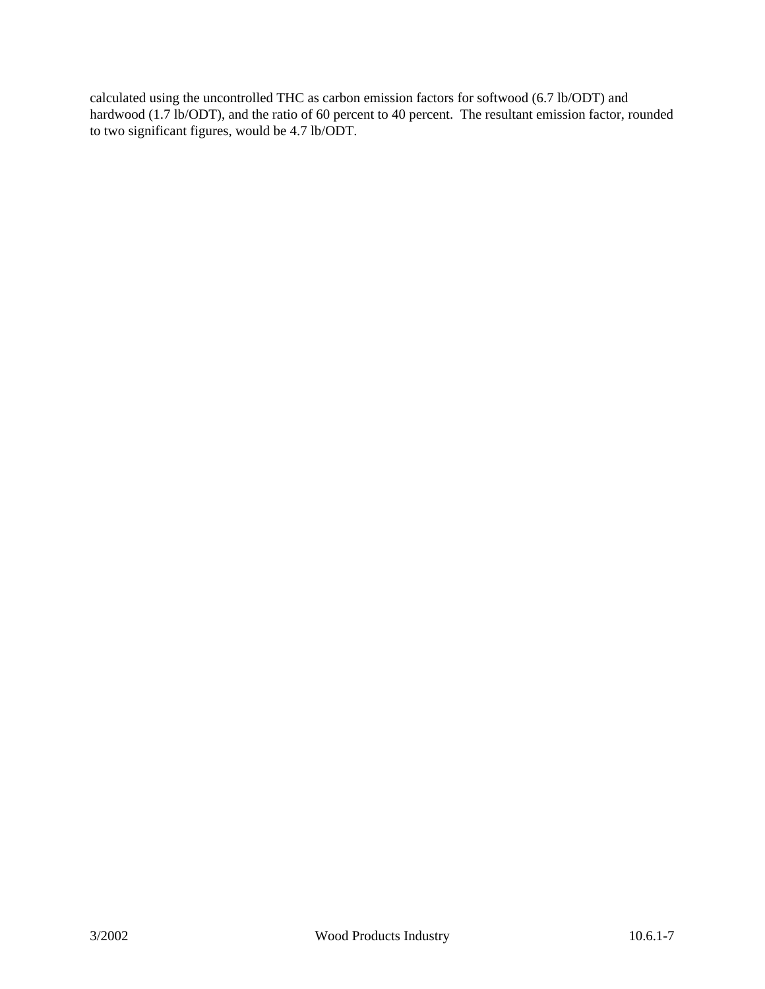calculated using the uncontrolled THC as carbon emission factors for softwood (6.7 lb/ODT) and hardwood (1.7 lb/ODT), and the ratio of 60 percent to 40 percent. The resultant emission factor, rounded to two significant figures, would be 4.7 lb/ODT.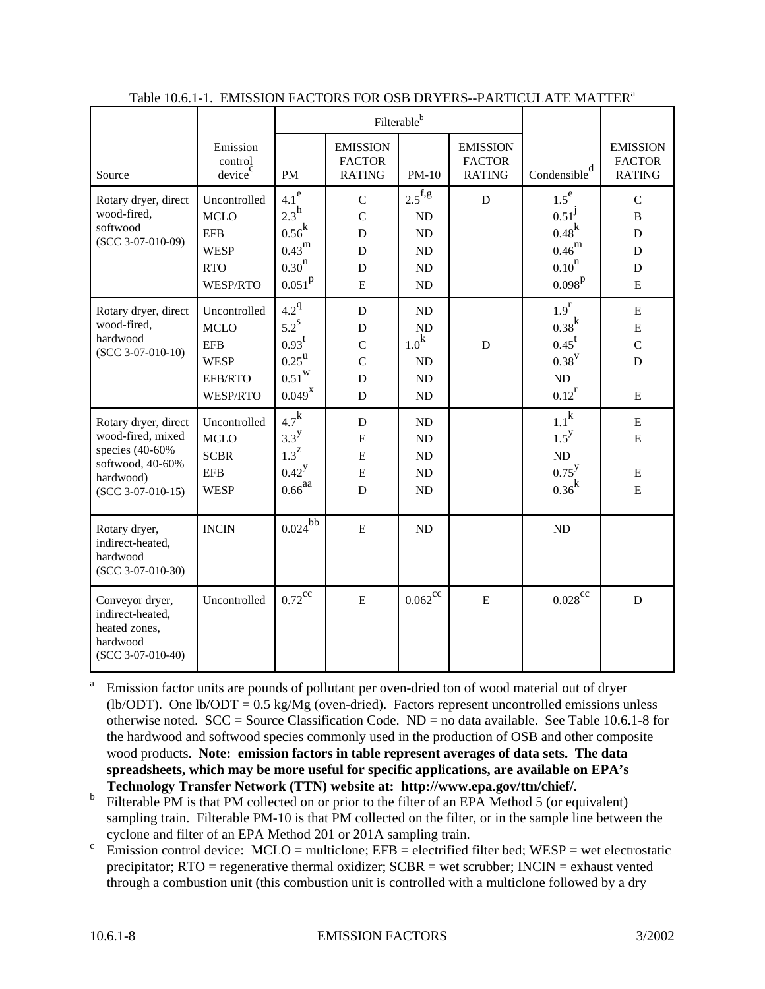|                                                                                                                      |                                                                                        |                                                                                                          |                                                                           | Filterableb                                              |                                                   |                                                                                               |                                                                 |
|----------------------------------------------------------------------------------------------------------------------|----------------------------------------------------------------------------------------|----------------------------------------------------------------------------------------------------------|---------------------------------------------------------------------------|----------------------------------------------------------|---------------------------------------------------|-----------------------------------------------------------------------------------------------|-----------------------------------------------------------------|
| Source                                                                                                               | Emission<br>control<br>device <sup>c</sup>                                             | <b>PM</b>                                                                                                | <b>EMISSION</b><br><b>FACTOR</b><br><b>RATING</b>                         | PM-10                                                    | <b>EMISSION</b><br><b>FACTOR</b><br><b>RATING</b> | Condensible $\frac{d}{dx}$                                                                    | <b>EMISSION</b><br><b>FACTOR</b><br><b>RATING</b>               |
| Rotary dryer, direct<br>wood-fired,<br>softwood<br>$(SCC 3-07-010-09)$                                               | Uncontrolled<br><b>MCLO</b><br><b>EFB</b><br><b>WESP</b><br><b>RTO</b><br>WESP/RTO     | 4.1 <sup>e</sup><br>$2.3^{\rm h}$<br>$0.56^{k}$<br>0.43 <sup>m</sup><br>0.30 <sup>n</sup><br>$0.051^{p}$ | $\mathsf{C}$<br>$\overline{C}$<br>$\mathbf D$<br>D<br>D<br>$\overline{E}$ | $2.5$ <sup>f,g</sup><br>ND<br>$\rm ND$<br>ND<br>ND<br>ND | $\mathbf D$                                       | $1.5^e$<br>$0.51^{\rm J}$<br>$0.48^{k}$<br>$0.46^{\rm m}$<br>0.10 <sup>n</sup><br>$0.098^{p}$ | $\mathbf C$<br>$\bf{B}$<br>$\mathbf D$<br>D<br>D<br>$\mathbf E$ |
| Rotary dryer, direct<br>wood-fired,<br>hardwood<br>$(SCC 3-07-010-10)$                                               | Uncontrolled<br><b>MCLO</b><br><b>EFB</b><br><b>WESP</b><br>EFB/RTO<br><b>WESP/RTO</b> | $4.2^{q}$<br>$5.2^{\text{s}}$<br>$0.93^t$<br>$0.25^{\mathrm{u}}$<br>$0.51^{\rm w}$<br>$0.049^{X}$        | D<br>$\mathbf D$<br>$\mathcal{C}$<br>$\overline{C}$<br>D<br>$\mathbf D$   | ND<br>$\rm ND$<br>1.0 <sup>k</sup><br>ND<br>ND<br>ND     | $\mathbf D$                                       | 1.9 <sup>r</sup><br>0.38 <sup>k</sup><br>$0.45^t$<br>$0.38^V$<br>$\rm ND$<br>$0.12^r$         | ${\bf E}$<br>${\bf E}$<br>$\mathcal{C}$<br>D<br>${\bf E}$       |
| Rotary dryer, direct<br>wood-fired, mixed<br>species (40-60%<br>softwood, 40-60%<br>hardwood)<br>$(SCC 3-07-010-15)$ | Uncontrolled<br><b>MCLO</b><br><b>SCBR</b><br><b>EFB</b><br><b>WESP</b>                | $4.7^k$<br>$3.3^{\mathrm{y}}$<br>$1.3^{\mathrm{Z}}$<br>$0.42^{y}$<br>$0.66$ <sup>aa</sup>                | D<br>E<br>${\bf E}$<br>E<br>D                                             | ND<br>ND<br>ND<br>ND<br>ND                               |                                                   | $1.1^{\mathrm{k}}$<br>$1.5^{\rm y}$<br>ND<br>$0.75^{\rm y}$<br>0.36 <sup>k</sup>              | ${\bf E}$<br>E<br>Ε<br>$\mathbf E$                              |
| Rotary dryer,<br>indirect-heated,<br>hardwood<br>$(SCC 3-07-010-30)$                                                 | <b>INCIN</b>                                                                           | $0.024^{bb}$                                                                                             | $\mathbf E$                                                               | ND                                                       |                                                   | ND                                                                                            |                                                                 |
| Conveyor dryer,<br>indirect-heated,<br>heated zones,<br>hardwood<br>(SCC 3-07-010-40)                                | Uncontrolled                                                                           | $0.72$ <sup>cc</sup>                                                                                     | E                                                                         | $0.062^{\rm cc}$                                         | ${\bf E}$                                         | $0.028^\mathrm{cc}$                                                                           | D                                                               |

#### Table 10.6.1-1. EMISSION FACTORS FOR OSB DRYERS--PARTICULATE MATTER<sup>a</sup>

a Emission factor units are pounds of pollutant per oven-dried ton of wood material out of dryer (lb/ODT). One lb/ODT =  $0.5 \text{ kg/Mg}$  (oven-dried). Factors represent uncontrolled emissions unless otherwise noted. SCC = Source Classification Code. ND = no data available. See Table 10.6.1-8 for the hardwood and softwood species commonly used in the production of OSB and other composite wood products. **Note: emission factors in table represent averages of data sets. The data spreadsheets, which may be more useful for specific applications, are available on EPA's Technology Transfer Network (TTN) website at: http://www.epa.gov/ttn/chief/.**

- b Filterable PM is that PM collected on or prior to the filter of an EPA Method 5 (or equivalent) sampling train. Filterable PM-10 is that PM collected on the filter, or in the sample line between the cyclone and filter of an EPA Method 201 or 201A sampling train.
- c Emission control device:  $MCLO =$  multiclone;  $EFB =$  electrified filter bed;  $WESP =$  wet electrostatic precipitator;  $RTO =$  regenerative thermal oxidizer;  $SCBR =$  wet scrubber;  $INCIN =$  exhaust vented through a combustion unit (this combustion unit is controlled with a multiclone followed by a dry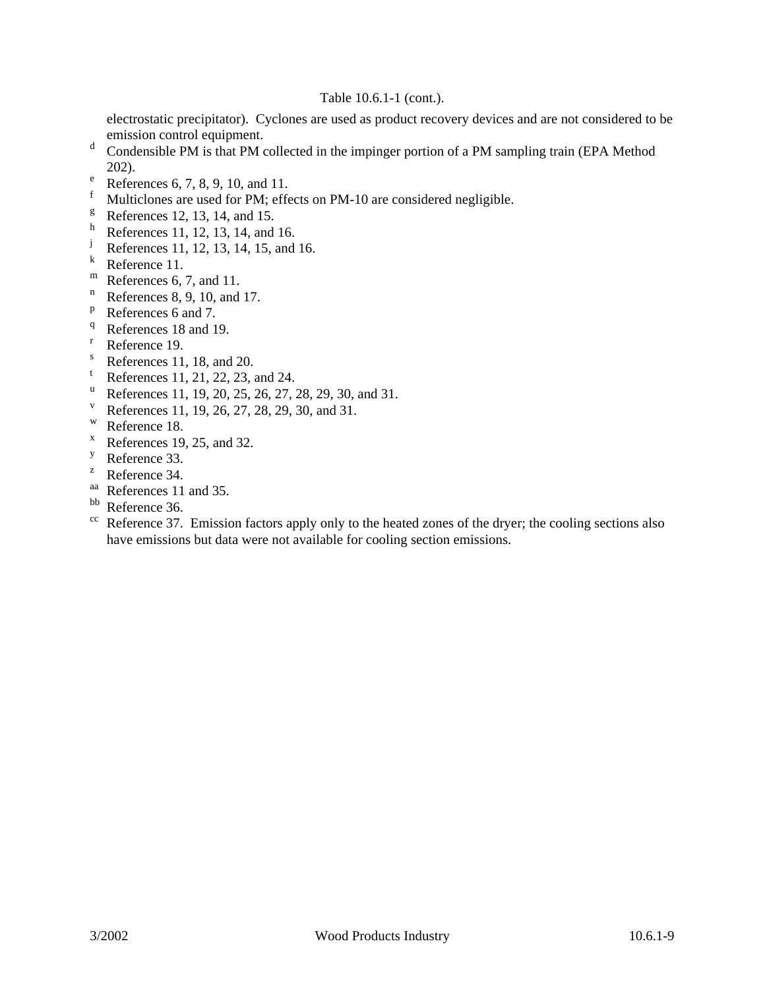#### Table 10.6.1-1 (cont.).

electrostatic precipitator). Cyclones are used as product recovery devices and are not considered to be emission control equipment.

- d Condensible PM is that PM collected in the impinger portion of a PM sampling train (EPA Method 202).
- e References 6, 7, 8, 9, 10, and 11.
- Multiclones are used for PM; effects on PM-10 are considered negligible.
- $\text{e}^{\text{g}}$  References 12, 13, 14, and 15.
- $\frac{h}{j}$  References 11, 12, 13, 14, and 16.
- References 11, 12, 13, 14, 15, and 16.
- <sup>k</sup> Reference 11.
- $m$  References 6, 7, and 11.
- $n$  References 8, 9, 10, and 17.
- <sup>p</sup> References 6 and 7.
- <sup>q</sup> References 18 and 19.
- Reference 19.
- S References 11, 18, and 20.
- References 11, 21, 22, 23, and 24.
- u References 11, 19, 20, 25, 26, 27, 28, 29, 30, and 31.
- References 11, 19, 26, 27, 28, 29, 30, and 31.
- <sup>w</sup> Reference 18.
- $x \text{ References } 19, 25, \text{ and } 32.$
- <sup>y</sup> Reference 33.
- <sup>z</sup> Reference 34.
- aa References 11 and 35.
- bb Reference 36.
- <sup>cc</sup> Reference 37. Emission factors apply only to the heated zones of the dryer; the cooling sections also have emissions but data were not available for cooling section emissions.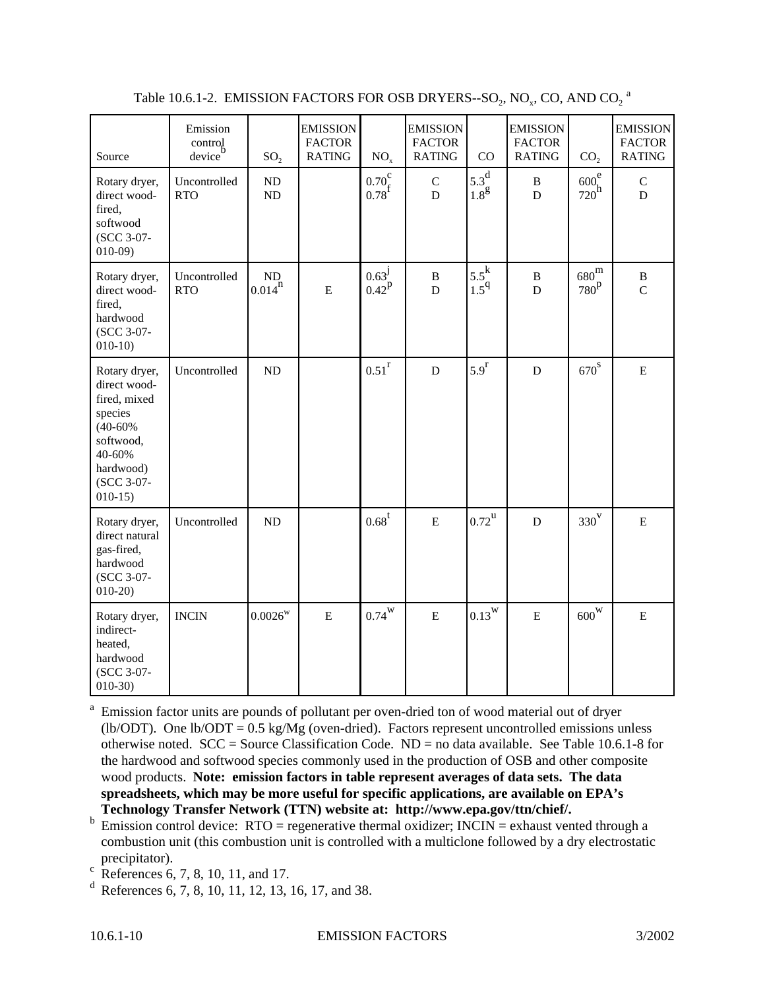| Source                                                                                                                                 | Emission<br>control<br>device | SO <sub>2</sub>   | <b>EMISSION</b><br><b>FACTOR</b><br><b>RATING</b> | NO <sub>x</sub>                                                             | <b>EMISSION</b><br><b>FACTOR</b><br><b>RATING</b> | CO                                | <b>EMISSION</b><br><b>FACTOR</b><br><b>RATING</b> | CO <sub>2</sub>                   | <b>EMISSION</b><br><b>FACTOR</b><br><b>RATING</b> |
|----------------------------------------------------------------------------------------------------------------------------------------|-------------------------------|-------------------|---------------------------------------------------|-----------------------------------------------------------------------------|---------------------------------------------------|-----------------------------------|---------------------------------------------------|-----------------------------------|---------------------------------------------------|
| Rotary dryer,<br>direct wood-<br>fired,<br>softwood<br>(SCC 3-07-<br>$010-09$                                                          | Uncontrolled<br><b>RTO</b>    | $\rm ND$<br>ND    |                                                   | $\begin{array}{c} 0.70_\mathrm{f}^\mathrm{c}\\ 0.78_\mathrm{f} \end{array}$ | $\mathsf C$<br>$\mathbf D$                        | $5.3^{\rm d}$<br>1.8 <sup>g</sup> | $\, {\bf B}$<br>$\mathbf{D}$                      | 600 <sup>e</sup><br>$720^{\rm h}$ | $\mathsf C$<br>$\mathbf D$                        |
| Rotary dryer,<br>direct wood-<br>fired,<br>hardwood<br>(SCC 3-07-<br>$010-10$                                                          | Uncontrolled<br><b>RTO</b>    | ND<br>$0.014^{n}$ | ${\bf E}$                                         | $0.63^{\rm J}$<br>$0.42^{p}$                                                | $\, {\bf B}$<br>$\mathbf D$                       | $5.5^k$<br>1.5 <sup>q</sup>       | $\, {\bf B}$<br>D                                 | $680^{\rm m}$<br>$780^{\rm p}$    | $\, {\bf B}$<br>$\overline{C}$                    |
| Rotary dryer,<br>direct wood-<br>fired, mixed<br>species<br>$(40 - 60\%$<br>softwood,<br>40-60%<br>hardwood)<br>(SCC 3-07-<br>$010-15$ | Uncontrolled                  | $\rm ND$          |                                                   | $0.51$ <sup>r</sup>                                                         | $\mathbf D$                                       | 5.9 <sup>r</sup>                  | $\mathbf D$                                       | $670^{\rm s}$                     | ${\bf E}$                                         |
| Rotary dryer,<br>direct natural<br>gas-fired,<br>hardwood<br>(SCC 3-07-<br>$010-20$                                                    | Uncontrolled                  | ND                |                                                   | $0.68^{\text{t}}$                                                           | ${\bf E}$                                         | $0.72^{\mathrm{u}}$               | $\mathbf D$                                       | $330^{\rm V}$                     | ${\bf E}$                                         |
| Rotary dryer,<br>indirect-<br>heated,<br>hardwood<br>(SCC 3-07-<br>$010-30$                                                            | <b>INCIN</b>                  | $0.0026^{\rm w}$  | ${\bf E}$                                         | $0.74^{\rm W}$                                                              | ${\bf E}$                                         | $0.13^{\rm w}$                    | ${\bf E}$                                         | $600^\mathrm{w}$                  | E                                                 |

Table 10.6.1-2. EMISSION FACTORS FOR OSB DRYERS--SO2, NO $_{\rm x}$ , CO, AND CO $_{\rm 2}$  a

<sup>a</sup> Emission factor units are pounds of pollutant per oven-dried ton of wood material out of dryer (lb/ODT). One lb/ODT =  $0.5 \text{ kg/Mg}$  (oven-dried). Factors represent uncontrolled emissions unless otherwise noted. SCC = Source Classification Code. ND = no data available. See Table 10.6.1-8 for the hardwood and softwood species commonly used in the production of OSB and other composite wood products. **Note: emission factors in table represent averages of data sets. The data spreadsheets, which may be more useful for specific applications, are available on EPA's Technology Transfer Network (TTN) website at: http://www.epa.gov/ttn/chief/.**

- $b$  Emission control device: RTO = regenerative thermal oxidizer; INCIN = exhaust vented through a combustion unit (this combustion unit is controlled with a multiclone followed by a dry electrostatic precipitator).
- $^{\rm c}$  References 6, 7, 8, 10, 11, and 17.
- <sup>d</sup> References 6, 7, 8, 10, 11, 12, 13, 16, 17, and 38.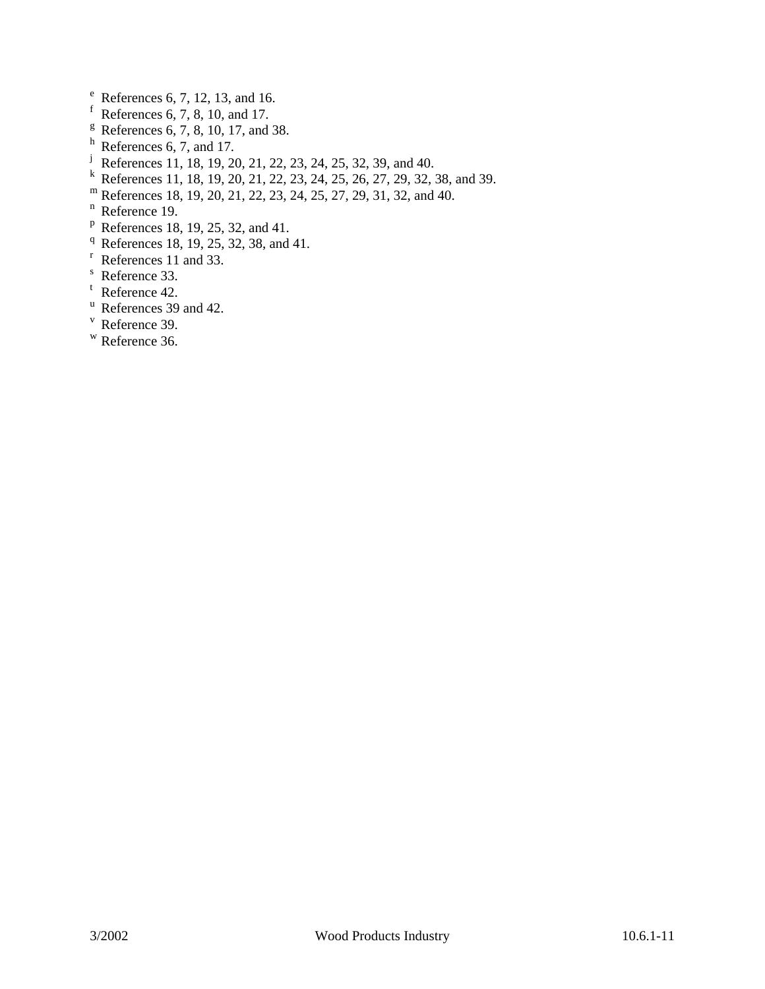- $e^{e}$  References 6, 7, 12, 13, and 16.
- f References 6, 7, 8, 10, and 17.
- $^8$  References 6, 7, 8, 10, 17, and 38.
- $h$  References 6, 7, and 17.
- <sup>j</sup> References 11, 18, 19, 20, 21, 22, 23, 24, 25, 32, 39, and 40.
- References 11, 18, 19, 20, 21, 22, 23, 24, 25, 26, 27, 29, 32, 38, and 39.
- <sup>m</sup> References 18, 19, 20, 21, 22, 23, 24, 25, 27, 29, 31, 32, and 40.
- <sup>n</sup> Reference 19.
- $P$  References 18, 19, 25, 32, and 41.
- <sup>q</sup> References 18, 19, 25, 32, 38, and 41.
- <sup>r</sup> References 11 and 33.
- <sup>s</sup> Reference 33.
- <sup>t</sup> Reference 42.
- <sup>u</sup> References 39 and 42.
- <sup>v</sup> Reference 39.
- <sup>w</sup> Reference 36.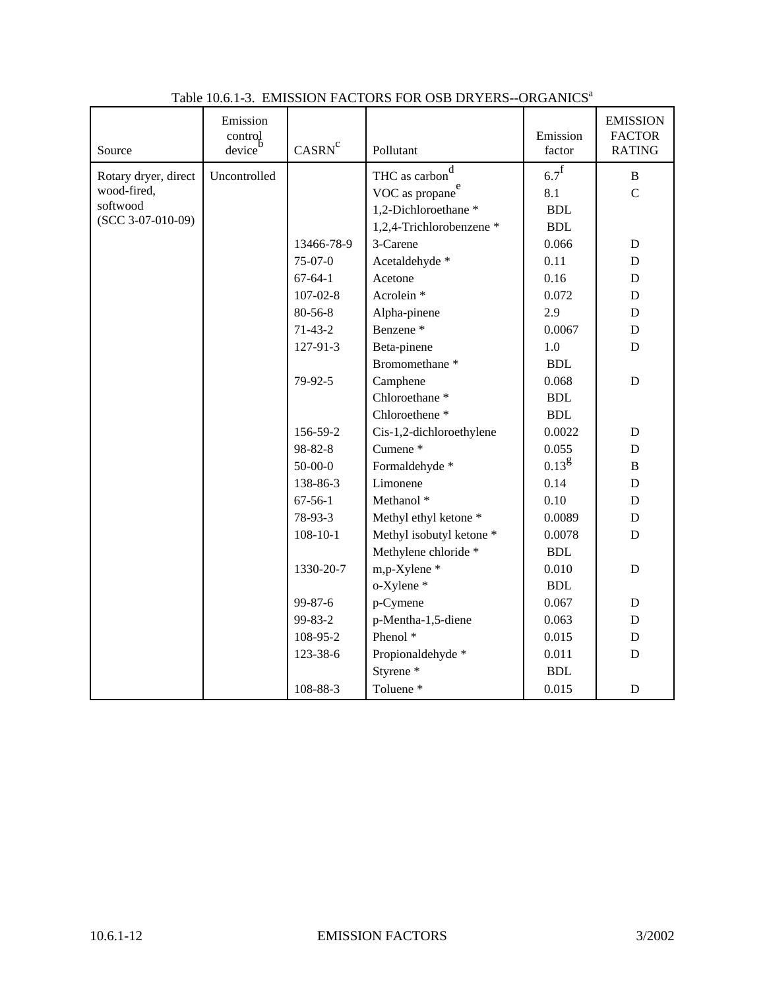| Source               | Emission<br>control<br>device <sup>'</sup> | CASRN <sup>c</sup> | Pollutant                   | Emission<br>factor   | <b>EMISSION</b><br><b>FACTOR</b><br><b>RATING</b> |
|----------------------|--------------------------------------------|--------------------|-----------------------------|----------------------|---------------------------------------------------|
| Rotary dryer, direct | Uncontrolled                               |                    | d<br>THC as carbon          | $6.7^{\text{f}}$     | $\, {\bf B}$                                      |
| wood-fired,          |                                            |                    | VOC as propane <sup>e</sup> | 8.1                  | $\overline{C}$                                    |
| softwood             |                                            |                    | 1,2-Dichloroethane *        | <b>BDL</b>           |                                                   |
| $(SCC 3-07-010-09)$  |                                            |                    | 1,2,4-Trichlorobenzene *    | <b>BDL</b>           |                                                   |
|                      |                                            | 13466-78-9         | 3-Carene                    | 0.066                | ${\bf D}$                                         |
|                      |                                            | $75-07-0$          | Acetaldehyde *              | 0.11                 | ${\bf D}$                                         |
|                      |                                            | $67 - 64 - 1$      | Acetone                     | 0.16                 | D                                                 |
|                      |                                            | $107 - 02 - 8$     | Acrolein <sup>*</sup>       | 0.072                | D                                                 |
|                      |                                            | 80-56-8            | Alpha-pinene                | 2.9                  | $\mathbf D$                                       |
|                      |                                            | $71-43-2$          | Benzene <sup>*</sup>        | 0.0067               | $\mathbf D$                                       |
|                      |                                            | 127-91-3           | Beta-pinene                 | 1.0                  | D                                                 |
|                      |                                            |                    | Bromomethane <sup>*</sup>   | <b>BDL</b>           |                                                   |
|                      |                                            | 79-92-5            | Camphene                    | 0.068                | $\mathbf D$                                       |
|                      |                                            |                    | Chloroethane <sup>*</sup>   | <b>BDL</b>           |                                                   |
|                      |                                            |                    | Chloroethene <sup>*</sup>   | <b>BDL</b>           |                                                   |
|                      |                                            | 156-59-2           | Cis-1,2-dichloroethylene    | 0.0022               | $\mathbf D$                                       |
|                      |                                            | 98-82-8            | Cumene <sup>*</sup>         | 0.055                | $\mathbf D$                                       |
|                      |                                            | $50 - 00 - 0$      | Formaldehyde *              | $0.13^{g}$           | B                                                 |
|                      |                                            | 138-86-3           | Limonene                    | 0.14                 | $\mathbf D$                                       |
|                      |                                            | $67 - 56 - 1$      | Methanol <sup>*</sup>       | 0.10                 | D                                                 |
|                      |                                            | 78-93-3            | Methyl ethyl ketone *       | 0.0089               | D                                                 |
|                      |                                            | $108 - 10 - 1$     | Methyl isobutyl ketone *    | 0.0078               | $\mathbf D$                                       |
|                      |                                            |                    | Methylene chloride *        | <b>BDL</b>           |                                                   |
|                      |                                            | 1330-20-7          | m,p-Xylene *                | 0.010                | $\mathbf D$                                       |
|                      |                                            |                    | o-Xylene *                  | $\operatorname{BDL}$ |                                                   |
|                      |                                            | 99-87-6            | p-Cymene                    | 0.067                | ${\bf D}$                                         |
|                      |                                            | 99-83-2            | p-Mentha-1,5-diene          | 0.063                | D                                                 |
|                      |                                            | 108-95-2           | Phenol <sup>*</sup>         | 0.015                | ${\bf D}$                                         |
|                      |                                            | 123-38-6           | Propionaldehyde *           | 0.011                | D                                                 |
|                      |                                            |                    | Styrene <sup>*</sup>        | <b>BDL</b>           |                                                   |
|                      |                                            | 108-88-3           | Toluene <sup>*</sup>        | 0.015                | D                                                 |

### Table 10.6.1-3. EMISSION FACTORS FOR OSB DRYERS--ORGANICS<sup>a</sup>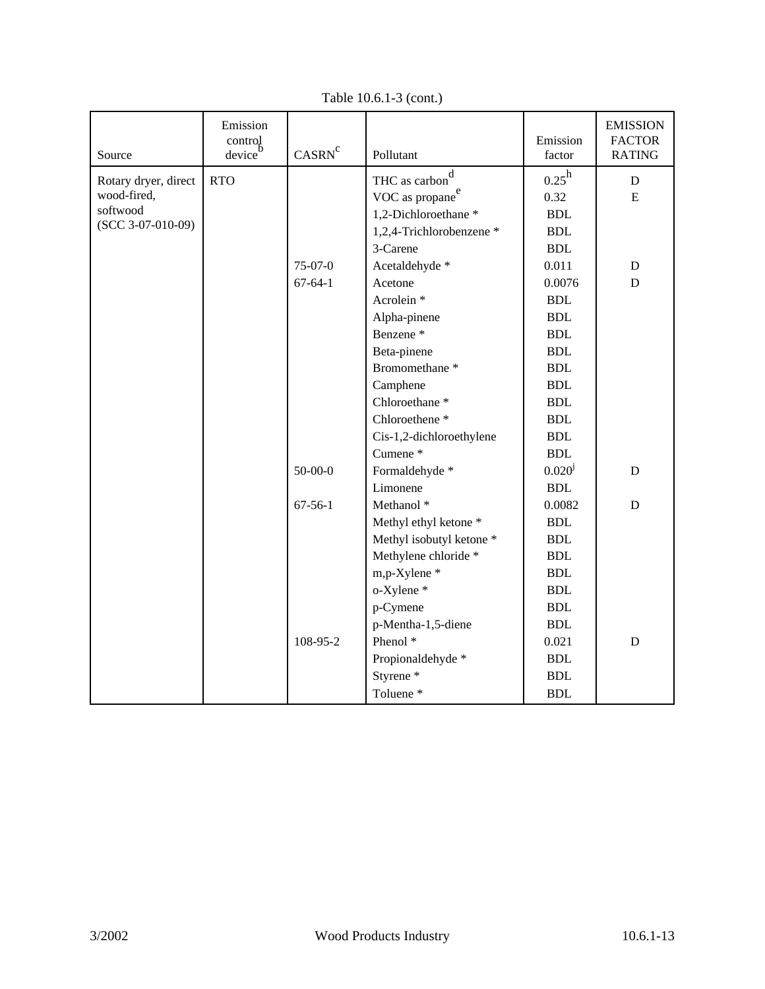| Source               | Emission<br>control<br>device | CASRN <sup>c</sup> | Pollutant                   | Emission<br>factor   | <b>EMISSION</b><br><b>FACTOR</b><br><b>RATING</b> |
|----------------------|-------------------------------|--------------------|-----------------------------|----------------------|---------------------------------------------------|
| Rotary dryer, direct | <b>RTO</b>                    |                    | THC as carbon <sup>d</sup>  | $0.25^{\rm h}$       | ${\bf D}$                                         |
| wood-fired,          |                               |                    | VOC as propane <sup>e</sup> | 0.32                 | E                                                 |
| softwood             |                               |                    | 1,2-Dichloroethane*         | $\operatorname{BDL}$ |                                                   |
| $(SCC 3-07-010-09)$  |                               |                    | 1,2,4-Trichlorobenzene *    | <b>BDL</b>           |                                                   |
|                      |                               |                    | 3-Carene                    | <b>BDL</b>           |                                                   |
|                      |                               | $75-07-0$          | Acetaldehyde *              | 0.011                | $\mathbf D$                                       |
|                      |                               | $67 - 64 - 1$      | Acetone                     | 0.0076               | $\mathbf D$                                       |
|                      |                               |                    | Acrolein <sup>*</sup>       | <b>BDL</b>           |                                                   |
|                      |                               |                    | Alpha-pinene                | <b>BDL</b>           |                                                   |
|                      |                               |                    | Benzene <sup>*</sup>        | <b>BDL</b>           |                                                   |
|                      |                               |                    | Beta-pinene                 | <b>BDL</b>           |                                                   |
|                      |                               |                    | Bromomethane <sup>*</sup>   | <b>BDL</b>           |                                                   |
|                      |                               |                    | Camphene                    | <b>BDL</b>           |                                                   |
|                      |                               |                    | Chloroethane <sup>*</sup>   | <b>BDL</b>           |                                                   |
|                      |                               |                    | Chloroethene <sup>*</sup>   | $\operatorname{BDL}$ |                                                   |
|                      |                               |                    | Cis-1,2-dichloroethylene    | <b>BDL</b>           |                                                   |
|                      |                               |                    | Cumene <sup>*</sup>         | <b>BDL</b>           |                                                   |
|                      |                               | $50-00-0$          | Formaldehyde *              | $0.020^{j}$          | $\mathbf D$                                       |
|                      |                               |                    | Limonene                    | <b>BDL</b>           |                                                   |
|                      |                               | $67 - 56 - 1$      | Methanol <sup>*</sup>       | 0.0082               | ${\bf D}$                                         |
|                      |                               |                    | Methyl ethyl ketone *       | <b>BDL</b>           |                                                   |
|                      |                               |                    | Methyl isobutyl ketone *    | <b>BDL</b>           |                                                   |
|                      |                               |                    | Methylene chloride *        | <b>BDL</b>           |                                                   |
|                      |                               |                    | m,p-Xylene*                 | <b>BDL</b>           |                                                   |
|                      |                               |                    | o-Xylene *                  | <b>BDL</b>           |                                                   |
|                      |                               |                    | p-Cymene                    | <b>BDL</b>           |                                                   |
|                      |                               |                    | p-Mentha-1,5-diene          | <b>BDL</b>           |                                                   |
|                      |                               | 108-95-2           | Phenol <sup>*</sup>         | 0.021                | $\mathbf D$                                       |
|                      |                               |                    | Propionaldehyde *           | <b>BDL</b>           |                                                   |
|                      |                               |                    | Styrene <sup>*</sup>        | $\operatorname{BDL}$ |                                                   |
|                      |                               |                    | Toluene <sup>*</sup>        | <b>BDL</b>           |                                                   |

Table 10.6.1-3 (cont.)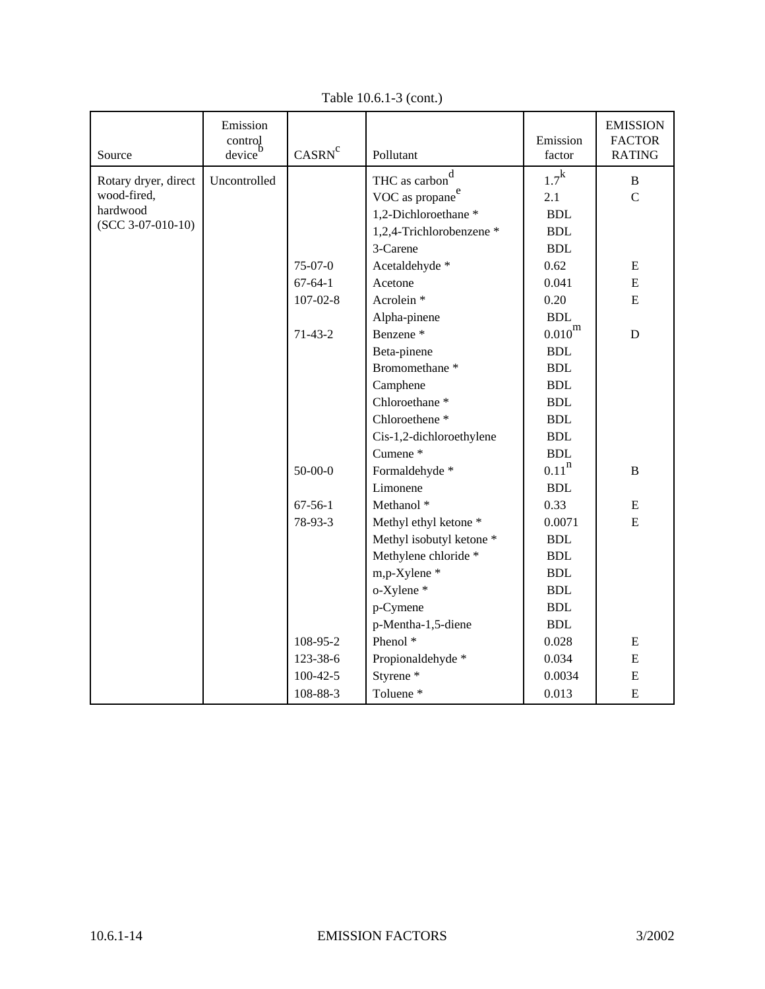| Source               | Emission<br>$\frac{\text{control}}{\text{b}}$<br>device <sup>'</sup> | CASRN <sup>c</sup> | Pollutant                   | Emission<br>factor   | <b>EMISSION</b><br><b>FACTOR</b><br><b>RATING</b> |
|----------------------|----------------------------------------------------------------------|--------------------|-----------------------------|----------------------|---------------------------------------------------|
| Rotary dryer, direct | Uncontrolled                                                         |                    | THC as carbon <sup>d</sup>  | $1.7^{\rm k}$        | $\bf{B}$                                          |
| wood-fired,          |                                                                      |                    | VOC as propane <sup>e</sup> | 2.1                  | $\mathcal{C}$                                     |
| hardwood             |                                                                      |                    | 1,2-Dichloroethane *        | $\operatorname{BDL}$ |                                                   |
| $(SCC 3-07-010-10)$  |                                                                      |                    | 1,2,4-Trichlorobenzene *    | $\operatorname{BDL}$ |                                                   |
|                      |                                                                      |                    | 3-Carene                    | <b>BDL</b>           |                                                   |
|                      |                                                                      | $75-07-0$          | Acetaldehyde *              | 0.62                 | ${\bf E}$                                         |
|                      |                                                                      | $67 - 64 - 1$      | Acetone                     | 0.041                | ${\bf E}$                                         |
|                      |                                                                      | $107 - 02 - 8$     | Acrolein <sup>*</sup>       | 0.20                 | ${\bf E}$                                         |
|                      |                                                                      |                    | Alpha-pinene                | <b>BDL</b>           |                                                   |
|                      |                                                                      | $71-43-2$          | Benzene <sup>*</sup>        | $0.010^{\rm m}$      | $\mathbf D$                                       |
|                      |                                                                      |                    | Beta-pinene                 | $\operatorname{BDL}$ |                                                   |
|                      |                                                                      |                    | Bromomethane <sup>*</sup>   | <b>BDL</b>           |                                                   |
|                      |                                                                      |                    | Camphene                    | <b>BDL</b>           |                                                   |
|                      |                                                                      |                    | Chloroethane <sup>*</sup>   | $\operatorname{BDL}$ |                                                   |
|                      |                                                                      |                    | Chloroethene <sup>*</sup>   | <b>BDL</b>           |                                                   |
|                      |                                                                      |                    | Cis-1,2-dichloroethylene    | <b>BDL</b>           |                                                   |
|                      |                                                                      |                    | Cumene <sup>*</sup>         | <b>BDL</b>           |                                                   |
|                      |                                                                      | $50 - 00 - 0$      | Formaldehyde *              | $0.11$ <sup>n</sup>  | $\, {\bf B}$                                      |
|                      |                                                                      |                    | Limonene                    | <b>BDL</b>           |                                                   |
|                      |                                                                      | $67 - 56 - 1$      | Methanol <sup>*</sup>       | 0.33                 | ${\bf E}$                                         |
|                      |                                                                      | 78-93-3            | Methyl ethyl ketone *       | 0.0071               | E                                                 |
|                      |                                                                      |                    | Methyl isobutyl ketone *    | <b>BDL</b>           |                                                   |
|                      |                                                                      |                    | Methylene chloride *        | <b>BDL</b>           |                                                   |
|                      |                                                                      |                    | m,p-Xylene *                | <b>BDL</b>           |                                                   |
|                      |                                                                      |                    | o-Xylene *                  | <b>BDL</b>           |                                                   |
|                      |                                                                      |                    | p-Cymene                    | $\operatorname{BDL}$ |                                                   |
|                      |                                                                      |                    | p-Mentha-1,5-diene          | <b>BDL</b>           |                                                   |
|                      |                                                                      | 108-95-2           | Phenol <sup>*</sup>         | 0.028                | ${\bf E}$                                         |
|                      |                                                                      | 123-38-6           | Propionaldehyde *           | 0.034                | ${\bf E}$                                         |
|                      |                                                                      | $100 - 42 - 5$     | Styrene <sup>*</sup>        | 0.0034               | ${\bf E}$                                         |
|                      |                                                                      | 108-88-3           | Toluene <sup>*</sup>        | 0.013                | ${\bf E}$                                         |

Table 10.6.1-3 (cont.)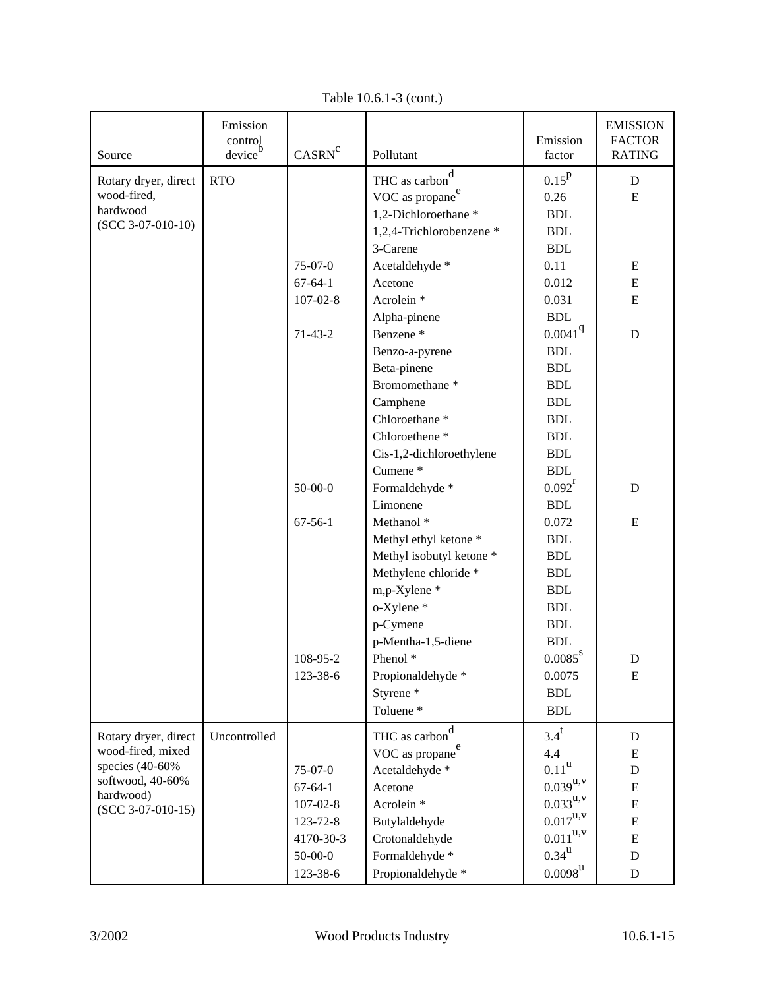|                         | Emission          |                    |                             |                                 | <b>EMISSION</b>                |
|-------------------------|-------------------|--------------------|-----------------------------|---------------------------------|--------------------------------|
| Source                  | control<br>device | CASRN <sup>c</sup> | Pollutant                   | Emission<br>factor              | <b>FACTOR</b><br><b>RATING</b> |
|                         |                   |                    | d                           |                                 |                                |
| Rotary dryer, direct    | <b>RTO</b>        |                    | THC as carbon               | $0.15^{p}$                      | $\mathbf D$                    |
| wood-fired,<br>hardwood |                   |                    | VOC as propane <sup>e</sup> | 0.26                            | E                              |
| $(SCC 3-07-010-10)$     |                   |                    | 1,2-Dichloroethane *        | <b>BDL</b>                      |                                |
|                         |                   |                    | 1,2,4-Trichlorobenzene *    | <b>BDL</b>                      |                                |
|                         |                   |                    | 3-Carene                    | <b>BDL</b>                      |                                |
|                         |                   | $75-07-0$          | Acetaldehyde *              | 0.11                            | E                              |
|                         |                   | $67 - 64 - 1$      | Acetone                     | 0.012                           | ${\bf E}$                      |
|                         |                   | $107 - 02 - 8$     | Acrolein <sup>*</sup>       | 0.031                           | ${\bf E}$                      |
|                         |                   |                    | Alpha-pinene                | <b>BDL</b>                      |                                |
|                         |                   | $71-43-2$          | Benzene <sup>*</sup>        | 0.0041 <sup>q</sup>             | $\mathbf D$                    |
|                         |                   |                    | Benzo-a-pyrene              | <b>BDL</b>                      |                                |
|                         |                   |                    | Beta-pinene                 | <b>BDL</b>                      |                                |
|                         |                   |                    | Bromomethane <sup>*</sup>   | <b>BDL</b>                      |                                |
|                         |                   |                    | Camphene                    | <b>BDL</b>                      |                                |
|                         |                   |                    | Chloroethane <sup>*</sup>   | <b>BDL</b>                      |                                |
|                         |                   |                    | Chloroethene <sup>*</sup>   | <b>BDL</b>                      |                                |
|                         |                   |                    | Cis-1,2-dichloroethylene    | <b>BDL</b>                      |                                |
|                         |                   |                    | Cumene*                     | <b>BDL</b>                      |                                |
|                         |                   | $50 - 00 - 0$      | Formaldehyde *              | $0.092^r$                       | $\mathbf D$                    |
|                         |                   |                    | Limonene                    | <b>BDL</b>                      |                                |
|                         |                   | $67 - 56 - 1$      | Methanol <sup>*</sup>       | 0.072                           | ${\bf E}$                      |
|                         |                   |                    | Methyl ethyl ketone *       | <b>BDL</b>                      |                                |
|                         |                   |                    | Methyl isobutyl ketone *    | <b>BDL</b>                      |                                |
|                         |                   |                    | Methylene chloride *        | <b>BDL</b>                      |                                |
|                         |                   |                    | m,p-Xylene *                | <b>BDL</b>                      |                                |
|                         |                   |                    | o-Xylene *                  | <b>BDL</b>                      |                                |
|                         |                   |                    | p-Cymene                    | <b>BDL</b>                      |                                |
|                         |                   |                    | p-Mentha-1,5-diene          | <b>BDL</b>                      |                                |
|                         |                   | 108-95-2           | Phenol <sup>*</sup>         | $0.0085^8$                      | D                              |
|                         |                   | 123-38-6           | Propionaldehyde *           | 0.0075                          | ${\bf E}$                      |
|                         |                   |                    | Styrene <sup>*</sup>        | <b>BDL</b>                      |                                |
|                         |                   |                    | Toluene <sup>*</sup>        | <b>BDL</b>                      |                                |
| Rotary dryer, direct    | Uncontrolled      |                    | d<br>THC as carbon          | $3.4^t$                         | ${\bf D}$                      |
| wood-fired, mixed       |                   |                    | VOC as propane <sup>e</sup> | 4.4                             | ${\bf E}$                      |
| species (40-60%         |                   | $75-07-0$          | Acetaldehyde *              | $0.11^{\rm u}$                  | ${\bf D}$                      |
| softwood, 40-60%        |                   | $67 - 64 - 1$      | Acetone                     | $0.039^{\rm u,v}$               | ${\bf E}$                      |
| hardwood)               |                   | $107 - 02 - 8$     | Acrolein <sup>*</sup>       | $0.033^{u,v}$                   | ${\bf E}$                      |
| $(SCC 3-07-010-15)$     |                   | 123-72-8           | Butylaldehyde               | $0.017^{\mathrm{u},\mathrm{v}}$ | ${\bf E}$                      |
|                         |                   | 4170-30-3          | Crotonaldehyde              | $0.011^{\mathrm{u},\mathrm{v}}$ | ${\bf E}$                      |
|                         |                   | $50-00-0$          | Formaldehyde *              | $0.34^{\rm u}$                  | ${\bf D}$                      |
|                         |                   | 123-38-6           | Propionaldehyde *           | $0.0098^\mathrm{u}$             | $\mathbf D$                    |

Table 10.6.1-3 (cont.)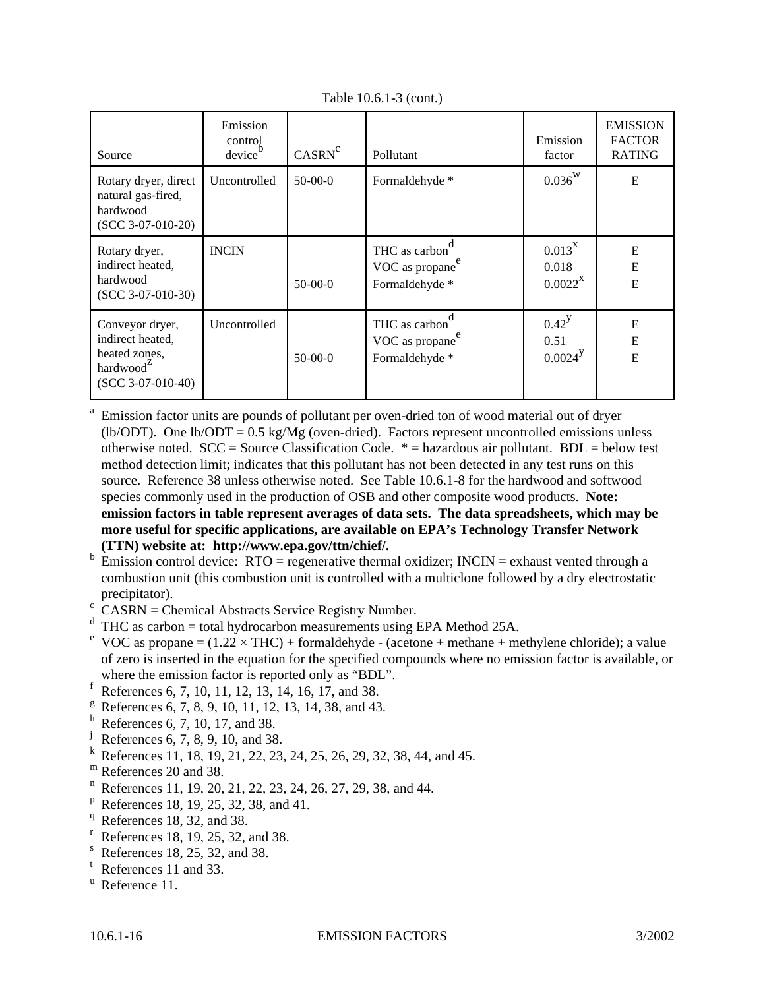| Source                                                                                               | Emission<br>control<br>device | CASRN <sup>c</sup> | Pollutant                                                      | Emission<br>factor                     | <b>EMISSION</b><br><b>FACTOR</b><br><b>RATING</b> |
|------------------------------------------------------------------------------------------------------|-------------------------------|--------------------|----------------------------------------------------------------|----------------------------------------|---------------------------------------------------|
| Rotary dryer, direct<br>natural gas-fired,<br>hardwood<br>$(SCC 3-07-010-20)$                        | Uncontrolled                  | $50-00-0$          | Formaldehyde *                                                 | $0.036^{W}$                            | E                                                 |
| Rotary dryer,<br>indirect heated,<br>hardwood<br>$(SCC 3-07-010-30)$                                 | <b>INCIN</b>                  | $50-00-0$          | THC as carbon<br>VOC as propane <sup>e</sup><br>Formaldehyde * | $0.013^{X}$<br>0.018<br>$0.0022^X$     | E<br>E<br>E                                       |
| Conveyor dryer,<br>indirect heated,<br>heated zones,<br>hardwood <sup>2</sup><br>$(SCC 3-07-010-40)$ | Uncontrolled                  | $50-00-0$          | THC as carbon<br>VOC as propane <sup>e</sup><br>Formaldehyde * | $0.42^{y}$<br>0.51<br>$0.0024^{\rm y}$ | E<br>${\bf E}$<br>E                               |

Table 10.6.1-3 (cont.)

<sup>a</sup> Emission factor units are pounds of pollutant per oven-dried ton of wood material out of dryer (lb/ODT). One lb/ODT =  $0.5 \text{ kg/Mg}$  (oven-dried). Factors represent uncontrolled emissions unless otherwise noted.  $SCC = Source Classification Code. * = hazardous air pollutant. BDL = below test$ method detection limit; indicates that this pollutant has not been detected in any test runs on this source. Reference 38 unless otherwise noted. See Table 10.6.1-8 for the hardwood and softwood species commonly used in the production of OSB and other composite wood products. **Note: emission factors in table represent averages of data sets. The data spreadsheets, which may be more useful for specific applications, are available on EPA's Technology Transfer Network (TTN) website at: http://www.epa.gov/ttn/chief/.**

- b Emission control device:  $RTO =$  regenerative thermal oxidizer;  $INCIN =$  exhaust vented through a combustion unit (this combustion unit is controlled with a multiclone followed by a dry electrostatic precipitator).
- $\frac{c}{c}$  CASRN = Chemical Abstracts Service Registry Number.
- $d$  THC as carbon = total hydrocarbon measurements using EPA Method 25A.
- <sup>e</sup> VOC as propane =  $(1.22 \times THC)$  + formaldehyde (acetone + methane + methylene chloride); a value of zero is inserted in the equation for the specified compounds where no emission factor is available, or where the emission factor is reported only as "BDL".
- f References 6, 7, 10, 11, 12, 13, 14, 16, 17, and 38.
- $g^8$  References 6, 7, 8, 9, 10, 11, 12, 13, 14, 38, and 43.
- $h$  References 6, 7, 10, 17, and 38.
- <sup>j</sup> References 6, 7, 8, 9, 10, and 38.
- <sup>k</sup> References 11, 18, 19, 21, 22, 23, 24, 25, 26, 29, 32, 38, 44, and 45.
- m References 20 and 38.
- $n^{n}$  References 11, 19, 20, 21, 22, 23, 24, 26, 27, 29, 38, and 44.
- $P$  References 18, 19, 25, 32, 38, and 41.
- $q$  References 18, 32, and 38.
- $r$  References 18, 19, 25, 32, and 38.
- References 18, 25, 32, and 38.
- <sup>t</sup> References 11 and 33.
- $^u$  Reference 11.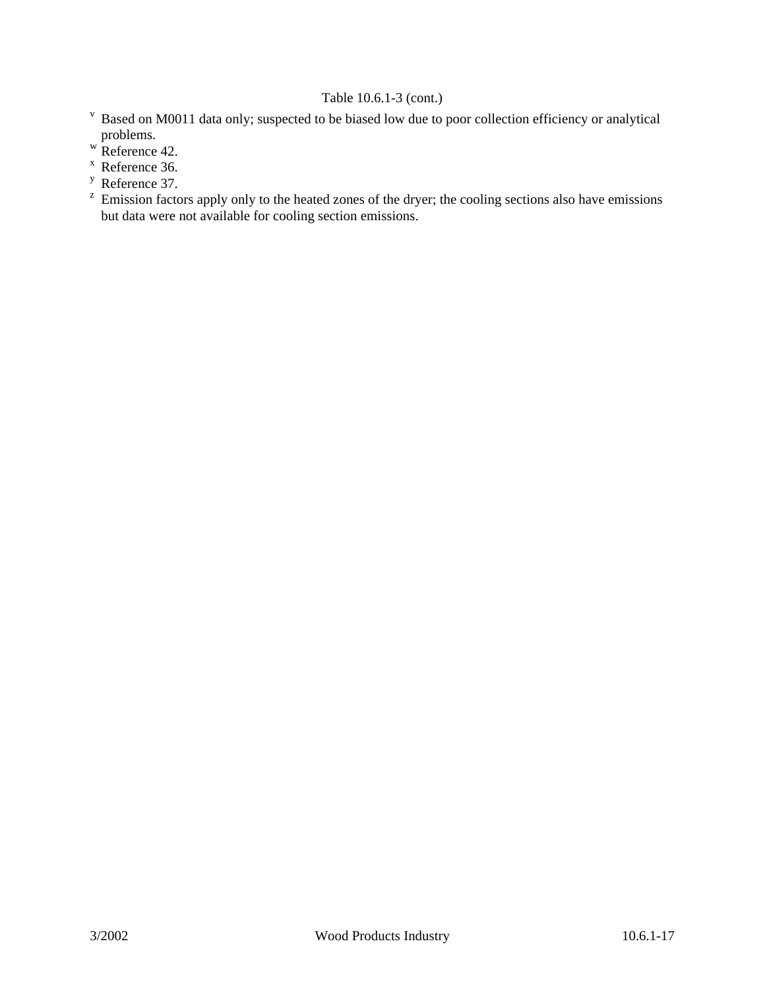# Table 10.6.1-3 (cont.)

- <sup>v</sup> Based on M0011 data only; suspected to be biased low due to poor collection efficiency or analytical problems.
- w Reference 42.
- <sup>x</sup> Reference 36.
- <sup>y</sup> Reference 37.
- $z$  Emission factors apply only to the heated zones of the dryer; the cooling sections also have emissions but data were not available for cooling section emissions.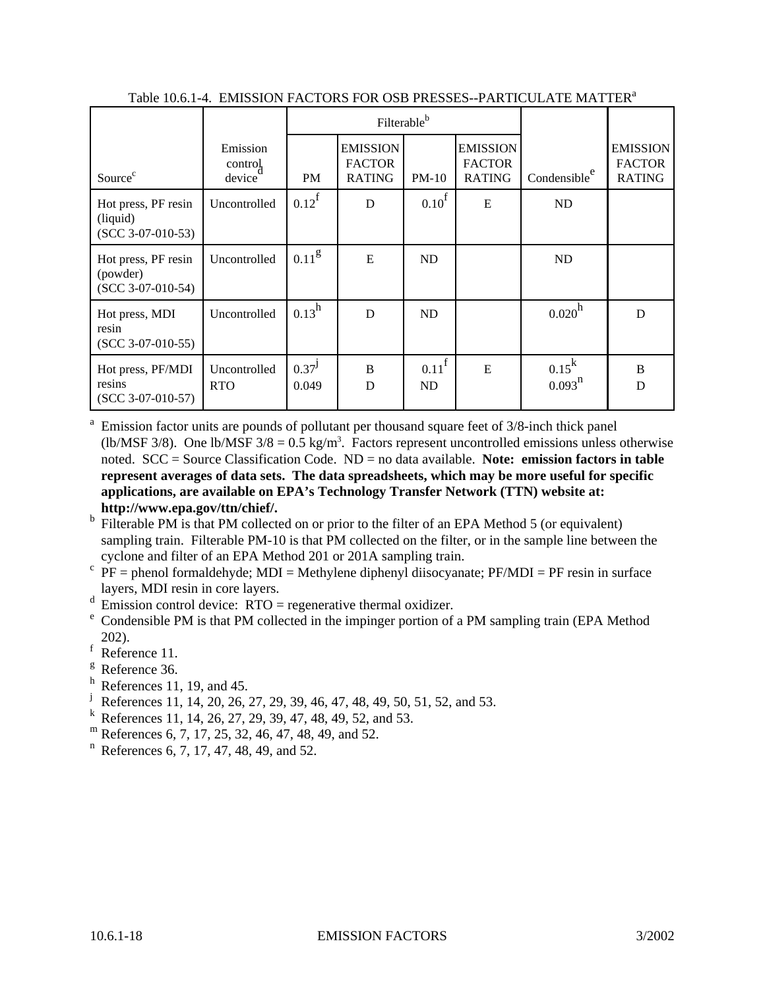|                                                        |                               | Filterable <sup>b</sup> |                                                   |                         |                                                   |                          |                                                   |
|--------------------------------------------------------|-------------------------------|-------------------------|---------------------------------------------------|-------------------------|---------------------------------------------------|--------------------------|---------------------------------------------------|
| Source <sup>c</sup>                                    | Emission<br>control<br>device | <b>PM</b>               | <b>EMISSION</b><br><b>FACTOR</b><br><b>RATING</b> | $PM-10$                 | <b>EMISSION</b><br><b>FACTOR</b><br><b>RATING</b> | Condensible <sup>e</sup> | <b>EMISSION</b><br><b>FACTOR</b><br><b>RATING</b> |
| Hot press, PF resin<br>(liquid)<br>$(SCC 3-07-010-53)$ | Uncontrolled                  | $0.12^{\text{f}}$       | D                                                 | 0.10 <sup>f</sup>       | E                                                 | ND                       |                                                   |
| Hot press, PF resin<br>(powder)<br>$(SCC 3-07-010-54)$ | Uncontrolled                  | $0.11^{g}$              | E                                                 | ND                      |                                                   | ND                       |                                                   |
| Hot press, MDI<br>resin<br>$(SCC 3-07-010-55)$         | Uncontrolled                  | $0.13^h$                | D                                                 | <b>ND</b>               |                                                   | 0.020 <sup>h</sup>       | D                                                 |
| Hot press, PF/MDI<br>resins<br>$(SCC 3-07-010-57)$     | Uncontrolled<br><b>RTO</b>    | $0.37^{J}$<br>0.049     | B<br>D                                            | $0.11^{\text{f}}$<br>ND | E                                                 | $0.15^k$<br>$0.093^{n}$  | B<br>D                                            |

Table 10.6.1-4. EMISSION FACTORS FOR OSB PRESSES--PARTICULATE MATTER<sup>a</sup>

<sup>a</sup> Emission factor units are pounds of pollutant per thousand square feet of 3/8-inch thick panel (lb/MSF 3/8). One lb/MSF  $3/8 = 0.5$  kg/m<sup>3</sup>. Factors represent uncontrolled emissions unless otherwise noted. SCC = Source Classification Code. ND = no data available. **Note: emission factors in table represent averages of data sets. The data spreadsheets, which may be more useful for specific applications, are available on EPA's Technology Transfer Network (TTN) website at: http://www.epa.gov/ttn/chief/.**

- b Filterable PM is that PM collected on or prior to the filter of an EPA Method 5 (or equivalent) sampling train. Filterable PM-10 is that PM collected on the filter, or in the sample line between the cyclone and filter of an EPA Method 201 or 201A sampling train.
- $\overrightarrow{P}$  PF = phenol formaldehyde; MDI = Methylene diphenyl diisocyanate; PF/MDI = PF resin in surface layers, MDI resin in core layers.
- $d$  Emission control device: RTO = regenerative thermal oxidizer.
- $\degree$  Condensible PM is that PM collected in the impinger portion of a PM sampling train (EPA Method 202).
- <sup>f</sup> Reference 11.
- <sup>g</sup> Reference 36.
- $<sup>h</sup>$  References 11, 19, and 45.</sup>
- <sup>j</sup> References 11, 14, 20, 26, 27, 29, 39, 46, 47, 48, 49, 50, 51, 52, and 53.
- <sup>k</sup> References 11, 14, 26, 27, 29, 39, 47, 48, 49, 52, and 53.
- $^{\rm m}$  References 6, 7, 17, 25, 32, 46, 47, 48, 49, and 52.
- $n$  References 6, 7, 17, 47, 48, 49, and 52.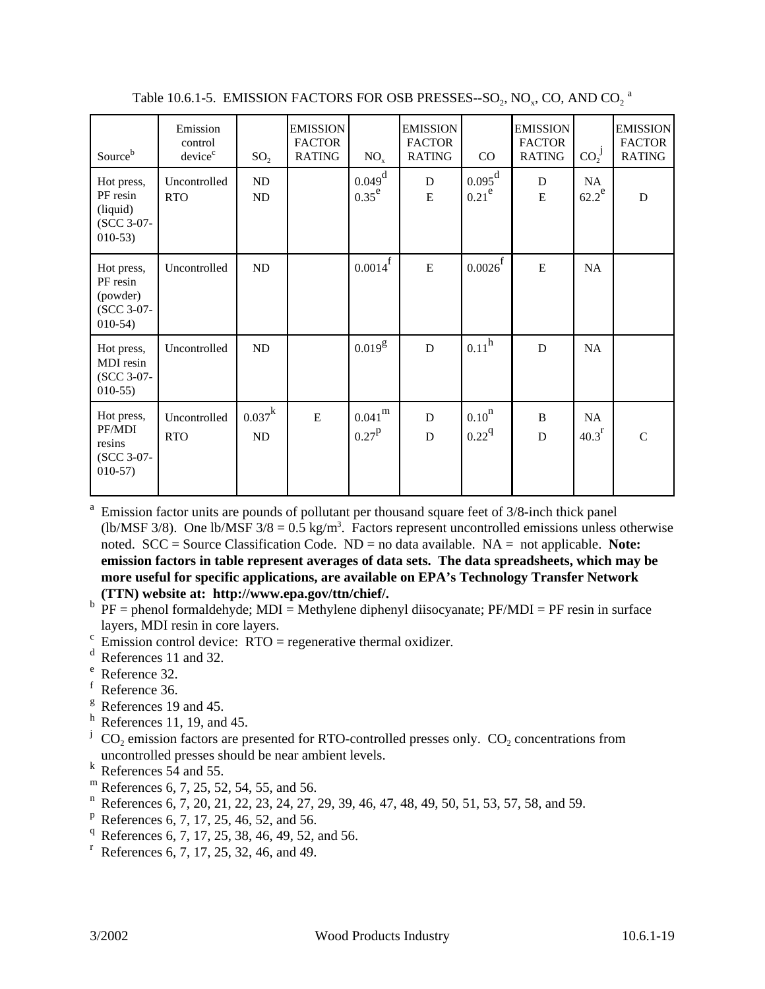| Sourceb                                                       | Emission<br>control<br>device <sup>c</sup> | SO <sub>2</sub>       | <b>EMISSION</b><br><b>FACTOR</b><br><b>RATING</b> | $NO_{x}$                      | <b>EMISSION</b><br><b>FACTOR</b><br><b>RATING</b> | $\rm CO$                                 | <b>EMISSION</b><br><b>FACTOR</b><br><b>RATING</b> | $CO_2^{\ J}$            | <b>EMISSION</b><br><b>FACTOR</b><br><b>RATING</b> |
|---------------------------------------------------------------|--------------------------------------------|-----------------------|---------------------------------------------------|-------------------------------|---------------------------------------------------|------------------------------------------|---------------------------------------------------|-------------------------|---------------------------------------------------|
| Hot press,<br>PF resin<br>(liquid)<br>(SCC 3-07-<br>$010-53$  | Uncontrolled<br><b>RTO</b>                 | ND<br>ND              |                                                   | $0.049^{\rm d}$<br>$0.35^e$   | D<br>E                                            | $0.095^{\rm d}$<br>0.21 <sup>e</sup>     | D<br>E                                            | NA<br>$62.2^e$          | D                                                 |
| Hot press,<br>PF resin<br>(powder)<br>(SCC 3-07-<br>$010-54)$ | Uncontrolled                               | ND                    |                                                   | $0.0014^{\rm f}$              | E                                                 | $0.0026^{\rm f}$                         | ${\bf E}$                                         | NA                      |                                                   |
| Hot press,<br>MDI resin<br>(SCC 3-07-<br>$010-55$             | Uncontrolled                               | ND                    |                                                   | $0.019^8$                     | D                                                 | 0.11 <sup>h</sup>                        | D                                                 | NA                      |                                                   |
| Hot press,<br>PF/MDI<br>resins<br>(SCC 3-07-<br>$010-57$      | Uncontrolled<br><b>RTO</b>                 | $0.037^{\rm k}$<br>ND | $\mathbf E$                                       | $0.041^{\rm m}$<br>$0.27^{P}$ | $\mathbf D$<br>D                                  | 0.10 <sup>n</sup><br>$0.22^{\mathrm{q}}$ | $\bf{B}$<br>D                                     | NA<br>40.3 <sup>r</sup> | $\mathsf{C}$                                      |

Table 10.6.1-5. EMISSION FACTORS FOR OSB PRESSES--SO<sub>2</sub>, NO<sub>x</sub>, CO, AND CO<sub>2</sub> <sup>a</sup>

a Emission factor units are pounds of pollutant per thousand square feet of 3/8-inch thick panel (lb/MSF 3/8). One lb/MSF  $3/8 = 0.5$  kg/m<sup>3</sup>. Factors represent uncontrolled emissions unless otherwise noted. SCC = Source Classification Code. ND = no data available. NA = not applicable. **Note: emission factors in table represent averages of data sets. The data spreadsheets, which may be more useful for specific applications, are available on EPA's Technology Transfer Network (TTN) website at: http://www.epa.gov/ttn/chief/.**

- $b$  PF = phenol formaldehyde; MDI = Methylene diphenyl diisocyanate; PF/MDI = PF resin in surface layers, MDI resin in core layers.
- $\epsilon$  Emission control device: RTO = regenerative thermal oxidizer.
- <sup>d</sup> References 11 and 32.
- <sup>e</sup> Reference 32.
- <sup>f</sup> Reference 36.
- <sup>g</sup> References 19 and 45.
- $<sup>h</sup>$  References 11, 19, and 45.</sup>
- <sup>j</sup> CO<sub>2</sub> emission factors are presented for RTO-controlled presses only. CO<sub>2</sub> concentrations from uncontrolled presses should be near ambient levels.
- $k$  References 54 and 55.
- <sup>m</sup> References 6, 7, 25, 52, 54, 55, and 56.
- <sup>n</sup> References 6, 7, 20, 21, 22, 23, 24, 27, 29, 39, 46, 47, 48, 49, 50, 51, 53, 57, 58, and 59.
- $P$  References 6, 7, 17, 25, 46, 52, and 56.
- <sup>q</sup> References 6, 7, 17, 25, 38, 46, 49, 52, and 56.
- $r$  References 6, 7, 17, 25, 32, 46, and 49.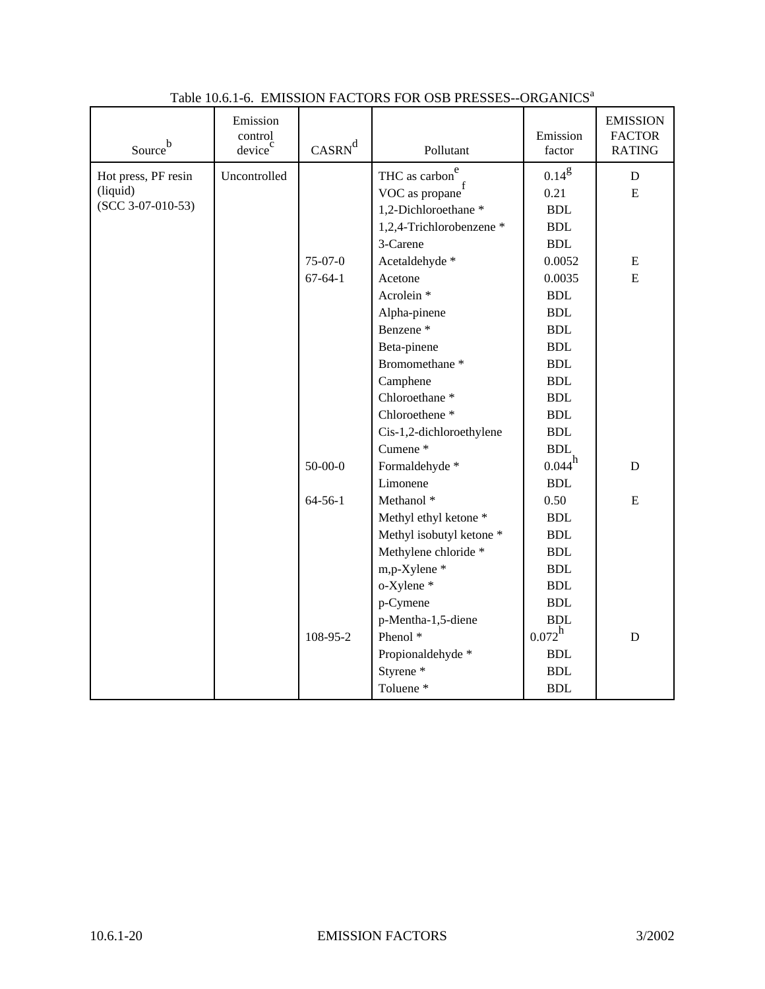| $\mbox{Source}^{\mbox{\scriptsize b}}$ | Emission<br>control<br>device <sup>c</sup> | $CASRN^d$     | Pollutant                                          | Emission<br>factor   | <b>EMISSION</b><br><b>FACTOR</b><br><b>RATING</b> |
|----------------------------------------|--------------------------------------------|---------------|----------------------------------------------------|----------------------|---------------------------------------------------|
| Hot press, PF resin                    | Uncontrolled                               |               | THC as carbon <sup>e</sup>                         | $0.14^{g}$           | D                                                 |
| (liquid)                               |                                            |               | VOC as $\operatorname{propane}^{\operatorname{f}}$ | 0.21                 | E                                                 |
| $(SCC 3-07-010-53)$                    |                                            |               | 1,2-Dichloroethane*                                | $\operatorname{BDL}$ |                                                   |
|                                        |                                            |               | 1,2,4-Trichlorobenzene *                           | <b>BDL</b>           |                                                   |
|                                        |                                            |               | 3-Carene                                           | <b>BDL</b>           |                                                   |
|                                        |                                            | $75-07-0$     | Acetaldehyde *                                     | 0.0052               | ${\bf E}$                                         |
|                                        |                                            | $67 - 64 - 1$ | Acetone                                            | 0.0035               | E                                                 |
|                                        |                                            |               | Acrolein <sup>*</sup>                              | <b>BDL</b>           |                                                   |
|                                        |                                            |               | Alpha-pinene                                       | <b>BDL</b>           |                                                   |
|                                        |                                            |               | Benzene <sup>*</sup>                               | <b>BDL</b>           |                                                   |
|                                        |                                            |               | Beta-pinene                                        | <b>BDL</b>           |                                                   |
|                                        |                                            |               | Bromomethane <sup>*</sup>                          | <b>BDL</b>           |                                                   |
|                                        |                                            |               | Camphene                                           | <b>BDL</b>           |                                                   |
|                                        |                                            |               | Chloroethane <sup>*</sup>                          | <b>BDL</b>           |                                                   |
|                                        |                                            |               | Chloroethene <sup>*</sup>                          | <b>BDL</b>           |                                                   |
|                                        |                                            |               | Cis-1,2-dichloroethylene                           | <b>BDL</b>           |                                                   |
|                                        |                                            |               | Cumene <sup>*</sup>                                | <b>BDL</b>           |                                                   |
|                                        |                                            | $50-00-0$     | Formaldehyde *                                     | $0.044^{h}$          | D                                                 |
|                                        |                                            |               | Limonene                                           | <b>BDL</b>           |                                                   |
|                                        |                                            | $64 - 56 - 1$ | Methanol <sup>*</sup>                              | 0.50                 | E                                                 |
|                                        |                                            |               | Methyl ethyl ketone *                              | <b>BDL</b>           |                                                   |
|                                        |                                            |               | Methyl isobutyl ketone *                           | <b>BDL</b>           |                                                   |
|                                        |                                            |               | Methylene chloride *                               | <b>BDL</b>           |                                                   |
|                                        |                                            |               | m,p-Xylene*                                        | <b>BDL</b>           |                                                   |
|                                        |                                            |               | o-Xylene *                                         | <b>BDL</b>           |                                                   |
|                                        |                                            |               | p-Cymene                                           | <b>BDL</b>           |                                                   |
|                                        |                                            |               | p-Mentha-1,5-diene                                 | <b>BDL</b>           |                                                   |
|                                        |                                            | 108-95-2      | Phenol <sup>*</sup>                                | $0.072^h$            | $\mathbf D$                                       |
|                                        |                                            |               | Propionaldehyde *                                  | <b>BDL</b>           |                                                   |
|                                        |                                            |               | Styrene <sup>*</sup>                               | $\operatorname{BDL}$ |                                                   |
|                                        |                                            |               | Toluene <sup>*</sup>                               | <b>BDL</b>           |                                                   |

## Table 10.6.1-6. EMISSION FACTORS FOR OSB PRESSES--ORGANICS<sup>a</sup>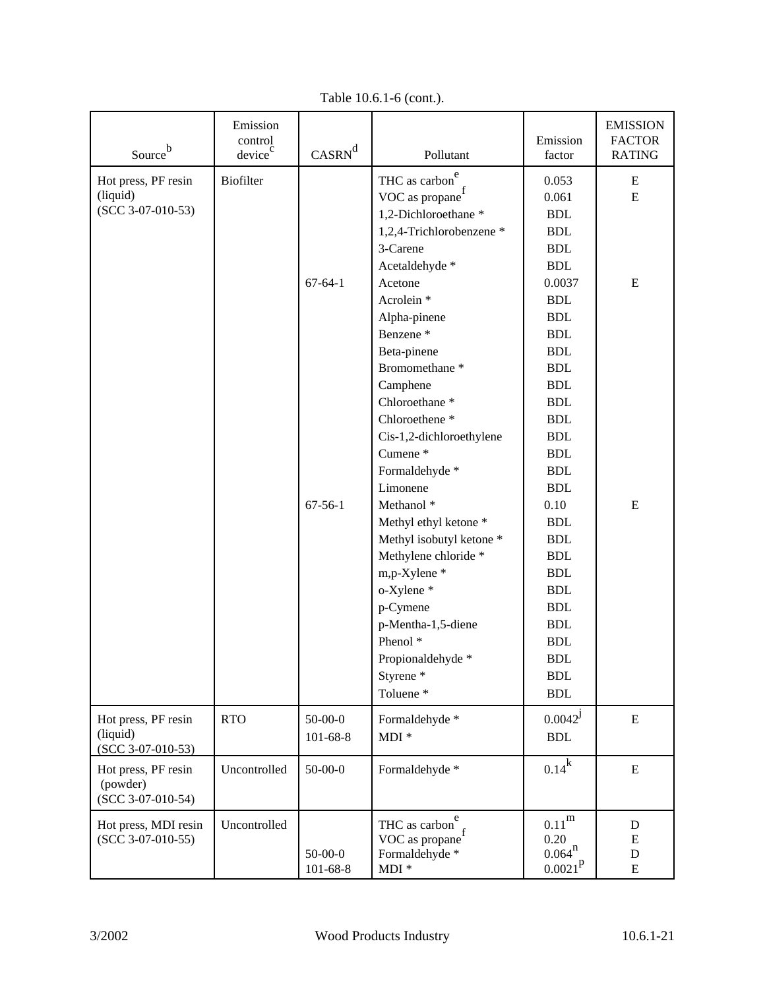| Source $\mathbf b$                                     | Emission<br>control<br>device <sup>c</sup> | $CASRN^d$                       | Pollutant                                                                                                                                                                                                                                                                                                                                                          | Emission<br>factor                                                                                                                                                                                                           | <b>EMISSION</b><br><b>FACTOR</b><br><b>RATING</b> |
|--------------------------------------------------------|--------------------------------------------|---------------------------------|--------------------------------------------------------------------------------------------------------------------------------------------------------------------------------------------------------------------------------------------------------------------------------------------------------------------------------------------------------------------|------------------------------------------------------------------------------------------------------------------------------------------------------------------------------------------------------------------------------|---------------------------------------------------|
| Hot press, PF resin<br>(liquid)<br>$(SCC 3-07-010-53)$ | <b>Biofilter</b>                           | $67 - 64 - 1$                   | THC as carbon<br>VOC as propane<br>1,2-Dichloroethane *<br>1,2,4-Trichlorobenzene *<br>3-Carene<br>Acetaldehyde *<br>Acetone<br>Acrolein <sup>*</sup><br>Alpha-pinene<br>Benzene <sup>*</sup><br>Beta-pinene<br>Bromomethane <sup>*</sup><br>Camphene<br>Chloroethane <sup>*</sup><br>Chloroethene <sup>*</sup><br>Cis-1,2-dichloroethylene<br>Cumene <sup>*</sup> | 0.053<br>0.061<br><b>BDL</b><br><b>BDL</b><br><b>BDL</b><br><b>BDL</b><br>0.0037<br><b>BDL</b><br><b>BDL</b><br><b>BDL</b><br><b>BDL</b><br><b>BDL</b><br><b>BDL</b><br><b>BDL</b><br><b>BDL</b><br><b>BDL</b><br><b>BDL</b> | E<br>E<br>E                                       |
|                                                        |                                            | $67 - 56 - 1$                   | Formaldehyde *<br>Limonene<br>Methanol <sup>*</sup><br>Methyl ethyl ketone *<br>Methyl isobutyl ketone *<br>Methylene chloride *<br>m,p-Xylene*<br>o-Xylene *<br>p-Cymene<br>p-Mentha-1,5-diene<br>Phenol <sup>*</sup><br>Propionaldehyde *<br>Styrene <sup>*</sup><br>Toluene <sup>*</sup>                                                                        | <b>BDL</b><br><b>BDL</b><br>0.10<br><b>BDL</b><br><b>BDL</b><br><b>BDL</b><br><b>BDL</b><br><b>BDL</b><br><b>BDL</b><br><b>BDL</b><br><b>BDL</b><br><b>BDL</b><br><b>BDL</b><br>$\operatorname{BDL}$                         | E                                                 |
| Hot press, PF resin<br>(liquid)<br>$(SCC 3-07-010-53)$ | <b>RTO</b>                                 | $50 - 00 - 0$<br>$101 - 68 - 8$ | Formaldehyde *<br>$MDI *$                                                                                                                                                                                                                                                                                                                                          | $0.0042^{\mathrm{J}}$<br>$\operatorname{BDL}$                                                                                                                                                                                | ${\bf E}$                                         |
| Hot press, PF resin<br>(powder)<br>$(SCC 3-07-010-54)$ | Uncontrolled                               | $50-00-0$                       | Formaldehyde *                                                                                                                                                                                                                                                                                                                                                     | $0.14^k$                                                                                                                                                                                                                     | ${\bf E}$                                         |
| Hot press, MDI resin<br>$(SCC 3-07-010-55)$            | Uncontrolled                               | $50-00-0$<br>$101 - 68 - 8$     | THC as carbon $r_f$<br>VOC as propane<br>Formaldehyde *<br>$MDI *$                                                                                                                                                                                                                                                                                                 | $0.11^{\rm m}$<br>0.20<br>$0.064^{n}$<br>$0.0021^{\rm p}$                                                                                                                                                                    | D<br>E<br>D<br>E                                  |

Table 10.6.1-6 (cont.).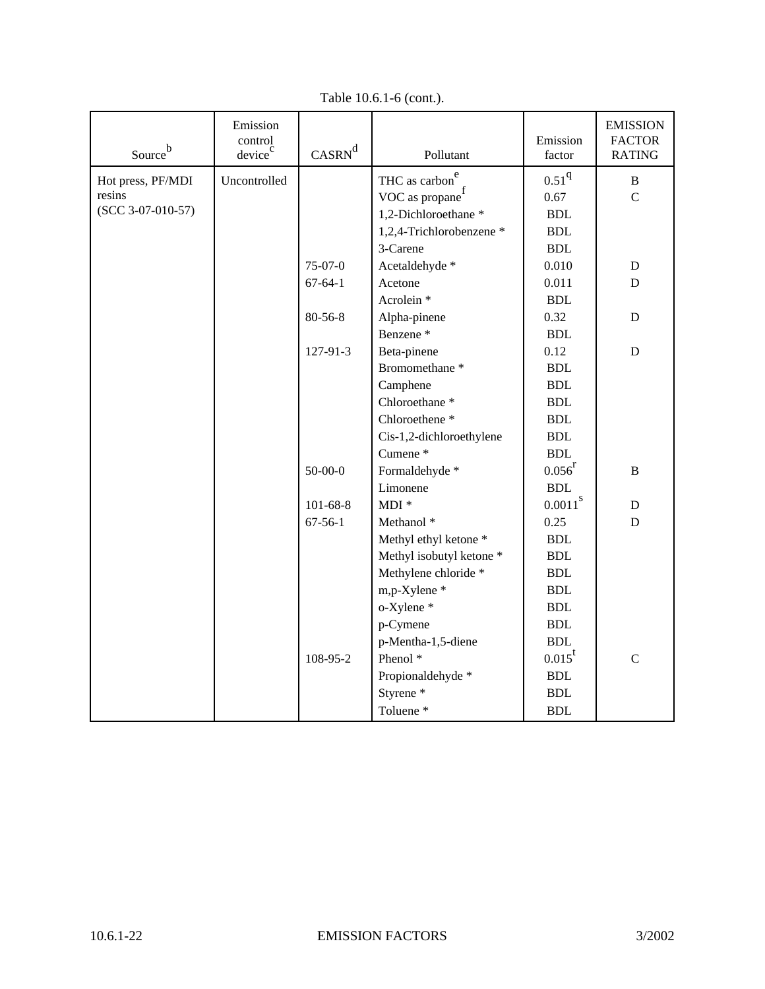| Source $\mathbf b$  | Emission<br>control<br>device <sup>c</sup> | $CASRN^d$      | Pollutant                  | Emission<br>factor   | <b>EMISSION</b><br><b>FACTOR</b><br><b>RATING</b> |
|---------------------|--------------------------------------------|----------------|----------------------------|----------------------|---------------------------------------------------|
| Hot press, PF/MDI   | Uncontrolled                               |                | THC as carbon <sup>e</sup> | 0.51 <sup>q</sup>    | $\bf{B}$                                          |
| resins              |                                            |                | VOC as propane             | 0.67                 | $\overline{C}$                                    |
| $(SCC 3-07-010-57)$ |                                            |                | 1,2-Dichloroethane*        | <b>BDL</b>           |                                                   |
|                     |                                            |                | 1,2,4-Trichlorobenzene *   | <b>BDL</b>           |                                                   |
|                     |                                            |                | 3-Carene                   | <b>BDL</b>           |                                                   |
|                     |                                            | $75-07-0$      | Acetaldehyde *             | 0.010                | $\mathbf D$                                       |
|                     |                                            | $67 - 64 - 1$  | Acetone                    | 0.011                | D                                                 |
|                     |                                            |                | Acrolein <sup>*</sup>      | <b>BDL</b>           |                                                   |
|                     |                                            | 80-56-8        | Alpha-pinene               | 0.32                 | ${\bf D}$                                         |
|                     |                                            |                | Benzene <sup>*</sup>       | <b>BDL</b>           |                                                   |
|                     |                                            | 127-91-3       | Beta-pinene                | 0.12                 | $\mathbf D$                                       |
|                     |                                            |                | Bromomethane <sup>*</sup>  | <b>BDL</b>           |                                                   |
|                     |                                            |                | Camphene                   | <b>BDL</b>           |                                                   |
|                     |                                            |                | Chloroethane <sup>*</sup>  | <b>BDL</b>           |                                                   |
|                     |                                            |                | Chloroethene <sup>*</sup>  | <b>BDL</b>           |                                                   |
|                     |                                            |                | Cis-1,2-dichloroethylene   | <b>BDL</b>           |                                                   |
|                     |                                            |                | Cumene <sup>*</sup>        | <b>BDL</b>           |                                                   |
|                     |                                            | $50-00-0$      | Formaldehyde *             | $0.056^{r}$          | $\bf{B}$                                          |
|                     |                                            |                | Limonene                   | $\operatorname{BDL}$ |                                                   |
|                     |                                            | $101 - 68 - 8$ | $MDI *$                    | $0.0011^{8}$         | ${\bf D}$                                         |
|                     |                                            | $67 - 56 - 1$  | Methanol <sup>*</sup>      | 0.25                 | $\mathbf D$                                       |
|                     |                                            |                | Methyl ethyl ketone *      | <b>BDL</b>           |                                                   |
|                     |                                            |                | Methyl isobutyl ketone *   | <b>BDL</b>           |                                                   |
|                     |                                            |                | Methylene chloride *       | $\operatorname{BDL}$ |                                                   |
|                     |                                            |                | m,p-Xylene*                | $\operatorname{BDL}$ |                                                   |
|                     |                                            |                | o-Xylene*                  | <b>BDL</b>           |                                                   |
|                     |                                            |                | p-Cymene                   | <b>BDL</b>           |                                                   |
|                     |                                            |                | p-Mentha-1,5-diene         | <b>BDL</b>           |                                                   |
|                     |                                            | 108-95-2       | Phenol <sup>*</sup>        | $0.015^t$            | $\mathsf C$                                       |
|                     |                                            |                | Propionaldehyde *          | <b>BDL</b>           |                                                   |
|                     |                                            |                | Styrene <sup>*</sup>       | <b>BDL</b>           |                                                   |
|                     |                                            |                | Toluene <sup>*</sup>       | <b>BDL</b>           |                                                   |

Table 10.6.1-6 (cont.).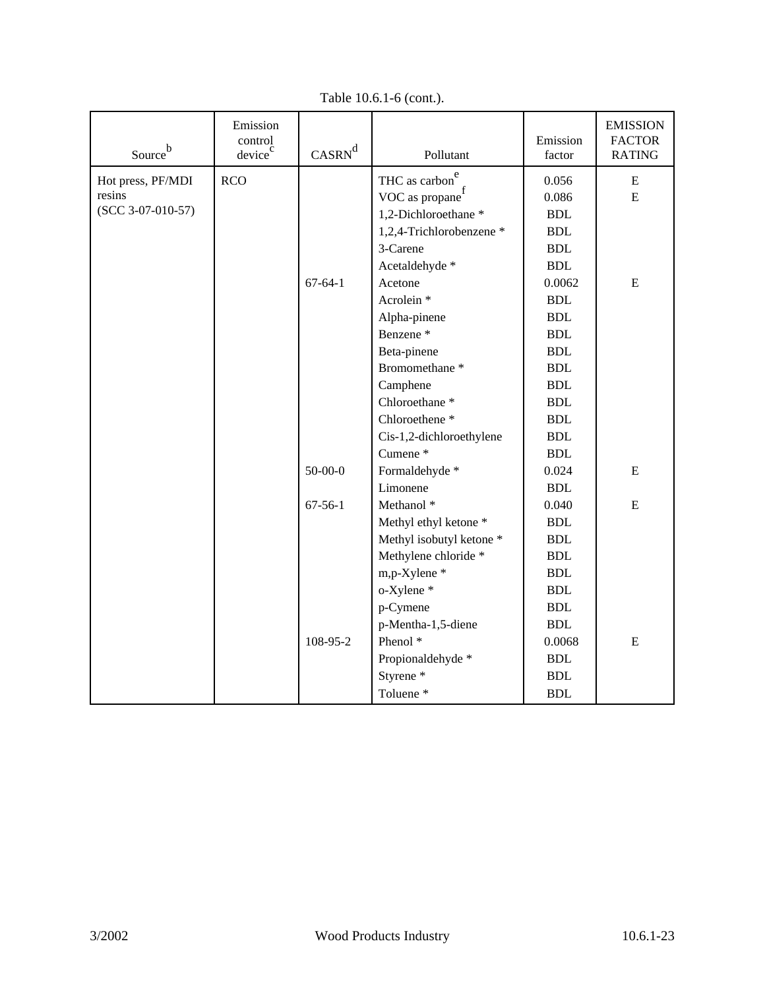| Source <sup>b</sup> | Emission<br>control<br>device <sup>c</sup> | $CASRN^d$     | Pollutant                   | Emission<br>factor   | <b>EMISSION</b><br><b>FACTOR</b><br><b>RATING</b> |
|---------------------|--------------------------------------------|---------------|-----------------------------|----------------------|---------------------------------------------------|
| Hot press, PF/MDI   | <b>RCO</b>                                 |               | THC as carbon <sup>e</sup>  | 0.056                | Ε                                                 |
| resins              |                                            |               | VOC as propane <sup>f</sup> | 0.086                | E                                                 |
| $(SCC 3-07-010-57)$ |                                            |               | 1,2-Dichloroethane*         | <b>BDL</b>           |                                                   |
|                     |                                            |               | 1,2,4-Trichlorobenzene *    | <b>BDL</b>           |                                                   |
|                     |                                            |               | 3-Carene                    | $\operatorname{BDL}$ |                                                   |
|                     |                                            |               | Acetaldehyde *              | <b>BDL</b>           |                                                   |
|                     |                                            | $67-64-1$     | Acetone                     | 0.0062               | ${\bf E}$                                         |
|                     |                                            |               | Acrolein <sup>*</sup>       | <b>BDL</b>           |                                                   |
|                     |                                            |               | Alpha-pinene                | <b>BDL</b>           |                                                   |
|                     |                                            |               | Benzene <sup>*</sup>        | <b>BDL</b>           |                                                   |
|                     |                                            |               | Beta-pinene                 | <b>BDL</b>           |                                                   |
|                     |                                            |               | Bromomethane <sup>*</sup>   | <b>BDL</b>           |                                                   |
|                     |                                            |               | Camphene                    | $\operatorname{BDL}$ |                                                   |
|                     |                                            |               | Chloroethane <sup>*</sup>   | <b>BDL</b>           |                                                   |
|                     |                                            |               | Chloroethene <sup>*</sup>   | $\operatorname{BDL}$ |                                                   |
|                     |                                            |               | Cis-1,2-dichloroethylene    | <b>BDL</b>           |                                                   |
|                     |                                            |               | Cumene <sup>*</sup>         | $\operatorname{BDL}$ |                                                   |
|                     |                                            | $50-00-0$     | Formaldehyde *              | 0.024                | E                                                 |
|                     |                                            |               | Limonene                    | $\operatorname{BDL}$ |                                                   |
|                     |                                            | $67 - 56 - 1$ | Methanol <sup>*</sup>       | 0.040                | E                                                 |
|                     |                                            |               | Methyl ethyl ketone *       | $\operatorname{BDL}$ |                                                   |
|                     |                                            |               | Methyl isobutyl ketone *    | <b>BDL</b>           |                                                   |
|                     |                                            |               | Methylene chloride *        | <b>BDL</b>           |                                                   |
|                     |                                            |               | m,p-Xylene *                | <b>BDL</b>           |                                                   |
|                     |                                            |               | o-Xylene *                  | <b>BDL</b>           |                                                   |
|                     |                                            |               | p-Cymene                    | <b>BDL</b>           |                                                   |
|                     |                                            |               | p-Mentha-1,5-diene          | <b>BDL</b>           |                                                   |
|                     |                                            | 108-95-2      | Phenol <sup>*</sup>         | 0.0068               | ${\bf E}$                                         |
|                     |                                            |               | Propionaldehyde *           | $\operatorname{BDL}$ |                                                   |
|                     |                                            |               | Styrene <sup>*</sup>        | <b>BDL</b>           |                                                   |
|                     |                                            |               | Toluene <sup>*</sup>        | <b>BDL</b>           |                                                   |

Table 10.6.1-6 (cont.).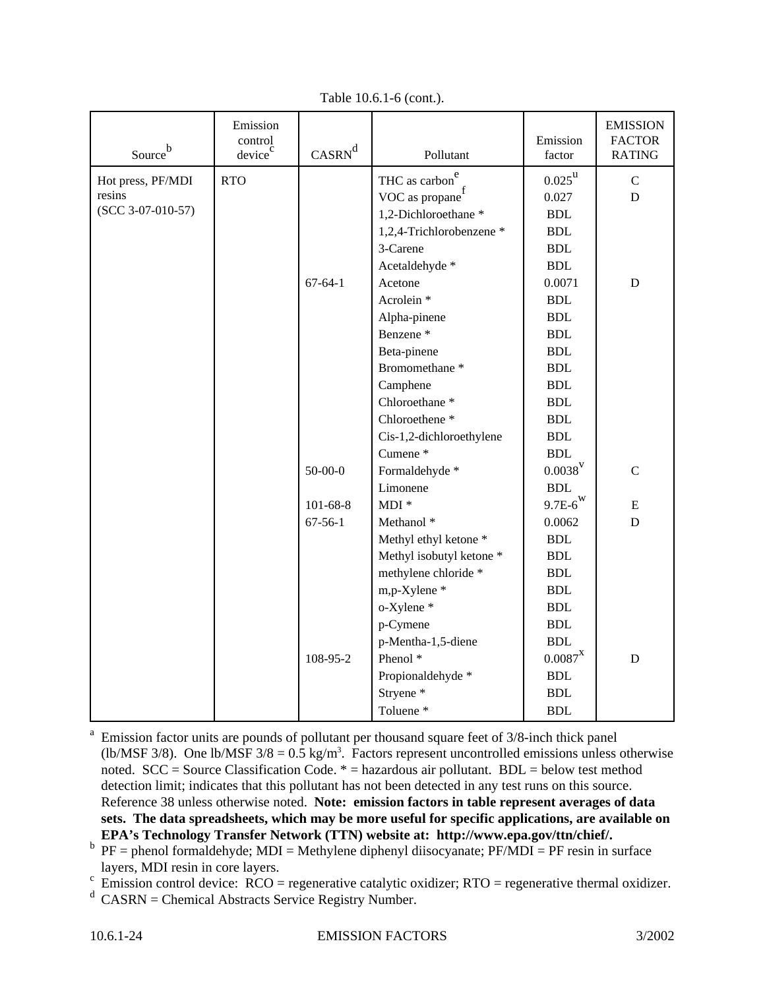| Source <sup>b</sup> | Emission<br>control<br>device <sup>c</sup> | $CASRN^d$      | Pollutant                  | Emission<br>factor           | <b>EMISSION</b><br><b>FACTOR</b><br><b>RATING</b> |
|---------------------|--------------------------------------------|----------------|----------------------------|------------------------------|---------------------------------------------------|
| Hot press, PF/MDI   | <b>RTO</b>                                 |                | THC as carbon <sup>e</sup> | $0.025^{\rm u}$              | ${\bf C}$                                         |
| resins              |                                            |                | VOC as propane $\int$      | 0.027                        | $\mathbf D$                                       |
| $(SCC 3-07-010-57)$ |                                            |                | 1,2-Dichloroethane *       | $\operatorname{BDL}$         |                                                   |
|                     |                                            |                | 1,2,4-Trichlorobenzene *   | <b>BDL</b>                   |                                                   |
|                     |                                            |                | 3-Carene                   | <b>BDL</b>                   |                                                   |
|                     |                                            |                | Acetaldehyde *             | $\operatorname{BDL}$         |                                                   |
|                     |                                            | $67 - 64 - 1$  | Acetone                    | 0.0071                       | ${\bf D}$                                         |
|                     |                                            |                | Acrolein <sup>*</sup>      | <b>BDL</b>                   |                                                   |
|                     |                                            |                | Alpha-pinene               | $\operatorname{BDL}$         |                                                   |
|                     |                                            |                | Benzene <sup>*</sup>       | <b>BDL</b>                   |                                                   |
|                     |                                            |                | Beta-pinene                | <b>BDL</b>                   |                                                   |
|                     |                                            |                | Bromomethane <sup>*</sup>  | <b>BDL</b>                   |                                                   |
|                     |                                            |                | Camphene                   | <b>BDL</b>                   |                                                   |
|                     |                                            |                | Chloroethane <sup>*</sup>  | <b>BDL</b>                   |                                                   |
|                     |                                            |                | Chloroethene <sup>*</sup>  | <b>BDL</b>                   |                                                   |
|                     |                                            |                | Cis-1,2-dichloroethylene   | <b>BDL</b>                   |                                                   |
|                     |                                            |                | Cumene <sup>*</sup>        | $\operatorname{BDL}$         |                                                   |
|                     |                                            | $50 - 00 - 0$  | Formaldehyde *             | $0.0038^V$                   | $\mathbf C$                                       |
|                     |                                            |                | Limonene                   | $\operatorname{BDL}$         |                                                   |
|                     |                                            | $101 - 68 - 8$ | $MDI *$                    | $9.7\mathrm{E-6}^\mathrm{W}$ | E                                                 |
|                     |                                            | $67 - 56 - 1$  | Methanol <sup>*</sup>      | 0.0062                       | $\mathbf D$                                       |
|                     |                                            |                | Methyl ethyl ketone *      | <b>BDL</b>                   |                                                   |
|                     |                                            |                | Methyl isobutyl ketone *   | <b>BDL</b>                   |                                                   |
|                     |                                            |                | methylene chloride *       | <b>BDL</b>                   |                                                   |
|                     |                                            |                | m,p-Xylene *               | <b>BDL</b>                   |                                                   |
|                     |                                            |                | o-Xylene *                 | <b>BDL</b>                   |                                                   |
|                     |                                            |                | p-Cymene                   | ${\bf BDL}$                  |                                                   |
|                     |                                            |                | p-Mentha-1,5-diene         | $\operatorname{BDL}$         |                                                   |
|                     |                                            | 108-95-2       | Phenol <sup>*</sup>        | $0.0087^\mathrm{X}$          | $\mathbf D$                                       |
|                     |                                            |                | Propionaldehyde *          | <b>BDL</b>                   |                                                   |
|                     |                                            |                | Stryene*                   | <b>BDL</b>                   |                                                   |
|                     |                                            |                | Toluene <sup>*</sup>       | <b>BDL</b>                   |                                                   |

Table 10.6.1-6 (cont.).

<sup>a</sup> Emission factor units are pounds of pollutant per thousand square feet of 3/8-inch thick panel (lb/MSF 3/8). One lb/MSF  $3/8 = 0.5$  kg/m<sup>3</sup>. Factors represent uncontrolled emissions unless otherwise noted.  $SCC = Source Classification Code. * = hazardous air pollutant. BDL = below test method$ detection limit; indicates that this pollutant has not been detected in any test runs on this source. Reference 38 unless otherwise noted. **Note: emission factors in table represent averages of data sets. The data spreadsheets, which may be more useful for specific applications, are available on EPA's Technology Transfer Network (TTN) website at: http://www.epa.gov/ttn/chief/.**

 $b$  PF = phenol formaldehyde; MDI = Methylene diphenyl diisocyanate; PF/MDI = PF resin in surface layers, MDI resin in core layers.

 $\epsilon$  Emission control device: RCO = regenerative catalytic oxidizer; RTO = regenerative thermal oxidizer.

 $d$  CASRN = Chemical Abstracts Service Registry Number.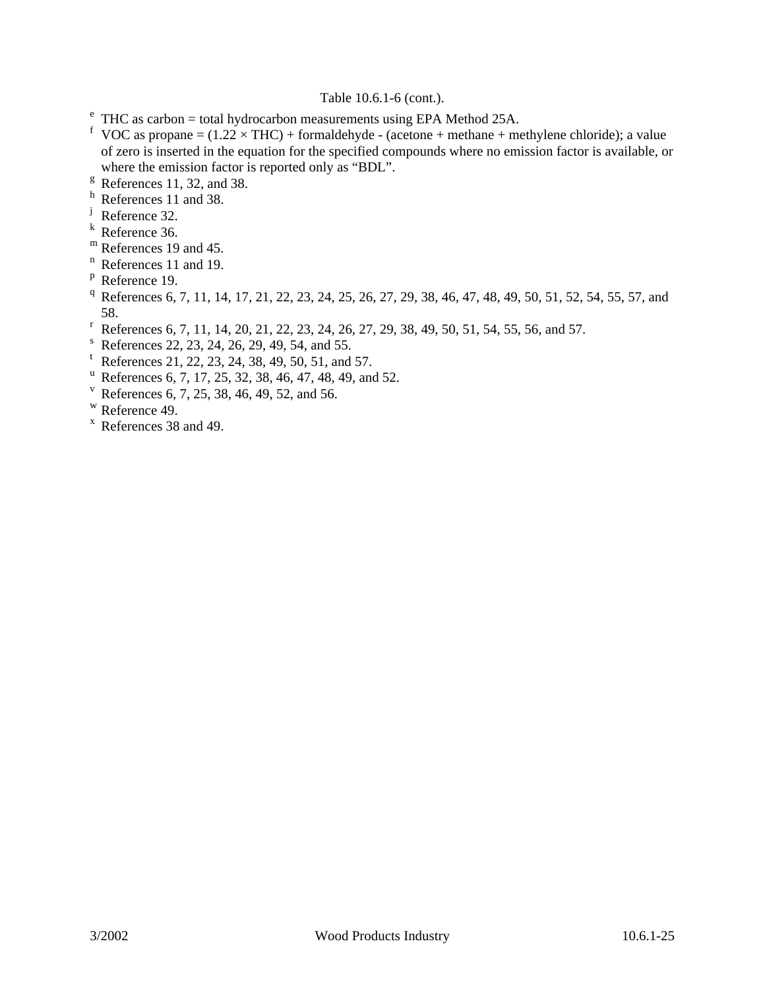### Table 10.6.1-6 (cont.).

- $e^e$  THC as carbon = total hydrocarbon measurements using EPA Method 25A.
- <sup>f</sup> VOC as propane =  $(1.22 \times THC)$  + formaldehyde (acetone + methane + methylene chloride); a value of zero is inserted in the equation for the specified compounds where no emission factor is available, or where the emission factor is reported only as "BDL".
- $\textdegree$  References 11, 32, and 38.
- h References 11 and 38.
- <sup>j</sup> Reference 32.
- <sup>k</sup> Reference 36.
- m References 19 and 45.
- <sup>n</sup> References 11 and 19.
- <sup>p</sup> Reference 19.
- <sup>q</sup> References 6, 7, 11, 14, 17, 21, 22, 23, 24, 25, 26, 27, 29, 38, 46, 47, 48, 49, 50, 51, 52, 54, 55, 57, and 58.
- <sup>r</sup> References 6, 7, 11, 14, 20, 21, 22, 23, 24, 26, 27, 29, 38, 49, 50, 51, 54, 55, 56, and 57.
- <sup>s</sup> References 22, 23, 24, 26, 29, 49, 54, and 55.
- t References 21, 22, 23, 24, 38, 49, 50, 51, and 57.
- <sup>u</sup> References 6, 7, 17, 25, 32, 38, 46, 47, 48, 49, and 52.
- <sup>v</sup> References 6, 7, 25, 38, 46, 49, 52, and 56.
- <sup>w</sup> Reference 49.
- <sup>x</sup> References 38 and 49.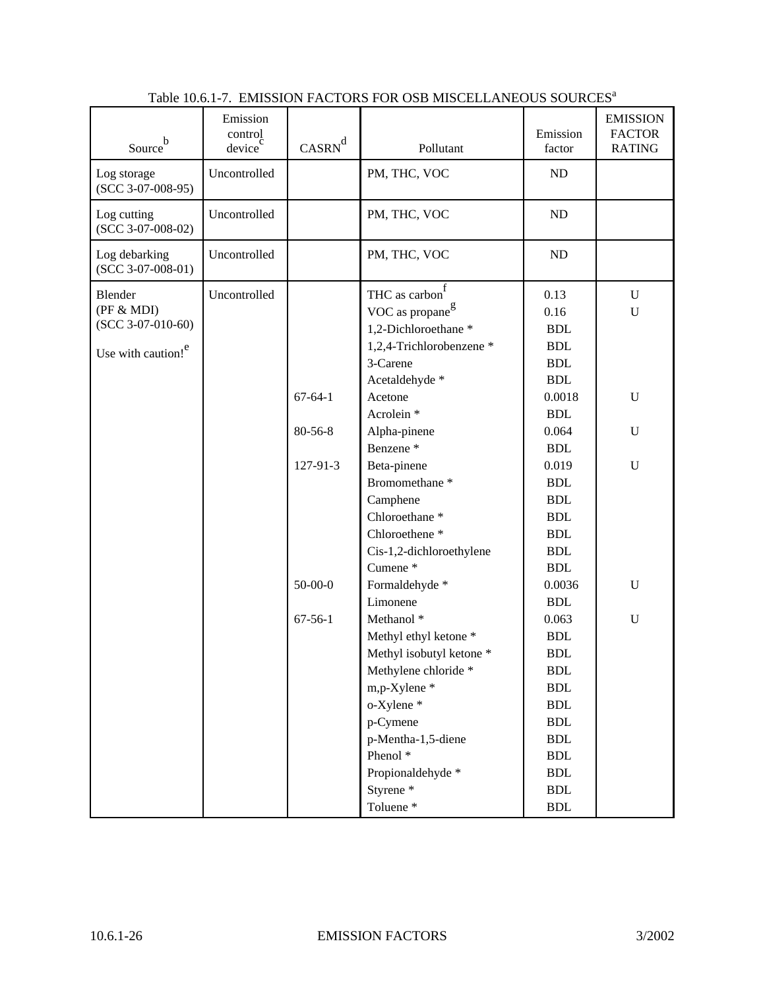| Source <sup>b</sup>                                                            | Emission<br>control<br>device <sup>c</sup> | $CASRN^d$     | Pollutant                                                                                                                                                                                                                                                      | Emission<br>factor                                                                                                                                                                  | <b>EMISSION</b><br><b>FACTOR</b><br><b>RATING</b> |
|--------------------------------------------------------------------------------|--------------------------------------------|---------------|----------------------------------------------------------------------------------------------------------------------------------------------------------------------------------------------------------------------------------------------------------------|-------------------------------------------------------------------------------------------------------------------------------------------------------------------------------------|---------------------------------------------------|
| Log storage<br>$(SCC 3-07-008-95)$                                             | Uncontrolled                               |               | PM, THC, VOC                                                                                                                                                                                                                                                   | ND                                                                                                                                                                                  |                                                   |
| Log cutting<br>$(SCC 3-07-008-02)$                                             | Uncontrolled                               |               | PM, THC, VOC                                                                                                                                                                                                                                                   | ND                                                                                                                                                                                  |                                                   |
| Log debarking<br>$(SCC 3-07-008-01)$                                           | Uncontrolled                               |               | PM, THC, VOC                                                                                                                                                                                                                                                   | ND                                                                                                                                                                                  |                                                   |
| Blender<br>(PF & MDI)<br>$(SCC 3-07-010-60)$<br>Use with caution! <sup>e</sup> | Uncontrolled                               |               | THC as carbon $\int$<br>VOC as propane <sup>g</sup><br>1,2-Dichloroethane*<br>1,2,4-Trichlorobenzene *<br>3-Carene<br>Acetaldehyde *                                                                                                                           | 0.13<br>0.16<br><b>BDL</b><br><b>BDL</b><br><b>BDL</b><br><b>BDL</b>                                                                                                                | $\mathbf U$<br>U                                  |
|                                                                                |                                            | $67 - 64 - 1$ | Acetone<br>Acrolein <sup>*</sup>                                                                                                                                                                                                                               | 0.0018<br><b>BDL</b>                                                                                                                                                                | $\mathbf U$                                       |
|                                                                                |                                            | $80 - 56 - 8$ | Alpha-pinene<br>Benzene <sup>*</sup>                                                                                                                                                                                                                           | 0.064<br><b>BDL</b>                                                                                                                                                                 | U                                                 |
|                                                                                |                                            | 127-91-3      | Beta-pinene<br>Bromomethane <sup>*</sup><br>Camphene<br>Chloroethane <sup>*</sup><br>Chloroethene <sup>*</sup><br>Cis-1,2-dichloroethylene<br>Cumene <sup>*</sup>                                                                                              | 0.019<br><b>BDL</b><br><b>BDL</b><br><b>BDL</b><br><b>BDL</b><br><b>BDL</b><br><b>BDL</b>                                                                                           | $\mathbf U$                                       |
|                                                                                |                                            | $50 - 00 - 0$ | Formaldehyde *<br>Limonene                                                                                                                                                                                                                                     | 0.0036<br><b>BDL</b>                                                                                                                                                                | U                                                 |
|                                                                                |                                            | $67 - 56 - 1$ | Methanol <sup>*</sup><br>Methyl ethyl ketone *<br>Methyl isobutyl ketone *<br>Methylene chloride *<br>m,p-Xylene *<br>o-Xylene *<br>p-Cymene<br>p-Mentha-1,5-diene<br>Phenol <sup>*</sup><br>Propionaldehyde *<br>Styrene <sup>*</sup><br>Toluene <sup>*</sup> | 0.063<br><b>BDL</b><br><b>BDL</b><br><b>BDL</b><br><b>BDL</b><br><b>BDL</b><br><b>BDL</b><br>$\operatorname{BDL}$<br><b>BDL</b><br><b>BDL</b><br><b>BDL</b><br>$\operatorname{BDL}$ | ${\bf U}$                                         |

| Table 10.6.1-7. EMISSION FACTORS FOR OSB MISCELLANEOUS SOURCES <sup>a</sup> |  |
|-----------------------------------------------------------------------------|--|
|                                                                             |  |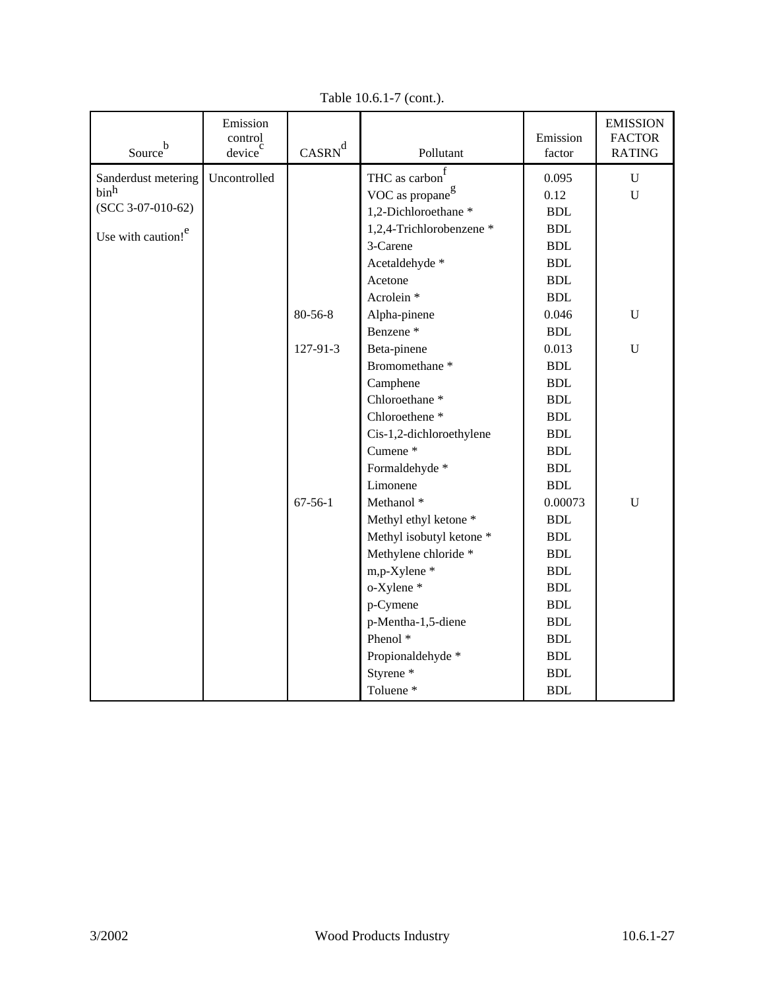| Source <sup>b</sup>            | Emission<br>control<br>device | $\mbox{CASRN}^d$ | Pollutant                                 | Emission<br>factor   | <b>EMISSION</b><br><b>FACTOR</b><br><b>RATING</b> |
|--------------------------------|-------------------------------|------------------|-------------------------------------------|----------------------|---------------------------------------------------|
| Sanderdust metering            | Uncontrolled                  |                  | THC as $\operatorname{carbon}^{\text{f}}$ | 0.095                | $\mathbf U$                                       |
| binh                           |                               |                  | VOC as propane <sup>g</sup>               | 0.12                 | $\mathbf{U}$                                      |
| $(SCC 3-07-010-62)$            |                               |                  | 1,2-Dichloroethane*                       | <b>BDL</b>           |                                                   |
|                                |                               |                  | 1,2,4-Trichlorobenzene *                  | $\operatorname{BDL}$ |                                                   |
| Use with caution! <sup>e</sup> |                               |                  | 3-Carene                                  | <b>BDL</b>           |                                                   |
|                                |                               |                  | Acetaldehyde *                            | <b>BDL</b>           |                                                   |
|                                |                               |                  | Acetone                                   | <b>BDL</b>           |                                                   |
|                                |                               |                  | Acrolein <sup>*</sup>                     | <b>BDL</b>           |                                                   |
|                                |                               | 80-56-8          | Alpha-pinene                              | 0.046                | $\mathbf U$                                       |
|                                |                               |                  | Benzene <sup>*</sup>                      | <b>BDL</b>           |                                                   |
|                                |                               | 127-91-3         | Beta-pinene                               | 0.013                | $\mathbf U$                                       |
|                                |                               |                  | Bromomethane <sup>*</sup>                 | <b>BDL</b>           |                                                   |
|                                |                               |                  | Camphene                                  | $\operatorname{BDL}$ |                                                   |
|                                |                               |                  | Chloroethane <sup>*</sup>                 | $\operatorname{BDL}$ |                                                   |
|                                |                               |                  | Chloroethene <sup>*</sup>                 | <b>BDL</b>           |                                                   |
|                                |                               |                  | Cis-1,2-dichloroethylene                  | <b>BDL</b>           |                                                   |
|                                |                               |                  | Cumene <sup>*</sup>                       | <b>BDL</b>           |                                                   |
|                                |                               |                  | Formaldehyde *                            | <b>BDL</b>           |                                                   |
|                                |                               |                  | Limonene                                  | <b>BDL</b>           |                                                   |
|                                |                               | $67 - 56 - 1$    | Methanol <sup>*</sup>                     | 0.00073              | $\mathbf U$                                       |
|                                |                               |                  | Methyl ethyl ketone *                     | <b>BDL</b>           |                                                   |
|                                |                               |                  | Methyl isobutyl ketone *                  | <b>BDL</b>           |                                                   |
|                                |                               |                  | Methylene chloride *                      | <b>BDL</b>           |                                                   |
|                                |                               |                  | m,p-Xylene *                              | <b>BDL</b>           |                                                   |
|                                |                               |                  | o-Xylene *                                | <b>BDL</b>           |                                                   |
|                                |                               |                  | p-Cymene                                  | <b>BDL</b>           |                                                   |
|                                |                               |                  | p-Mentha-1,5-diene                        | <b>BDL</b>           |                                                   |
|                                |                               |                  | Phenol <sup>*</sup>                       | <b>BDL</b>           |                                                   |
|                                |                               |                  | Propionaldehyde *                         | <b>BDL</b>           |                                                   |
|                                |                               |                  | Styrene <sup>*</sup>                      | <b>BDL</b>           |                                                   |
|                                |                               |                  | Toluene <sup>*</sup>                      | <b>BDL</b>           |                                                   |

Table 10.6.1-7 (cont.).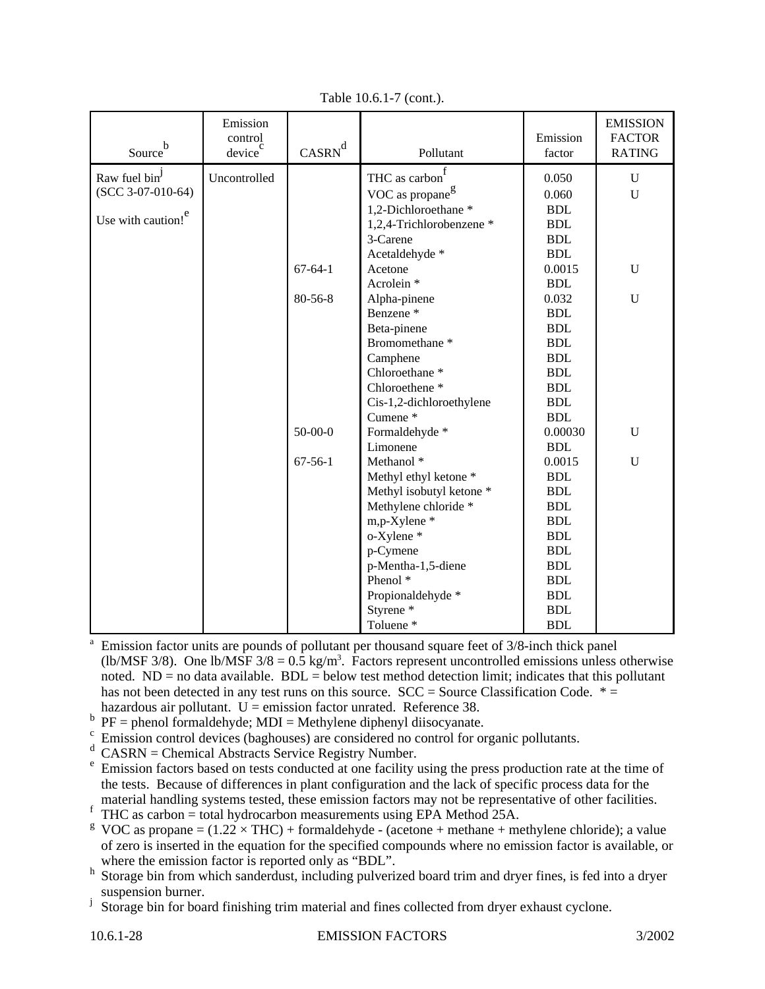| Source <sup>b</sup>            | Emission<br>control<br>device | $CASRN^d$     | Pollutant                   | Emission<br>factor | <b>EMISSION</b><br><b>FACTOR</b><br><b>RATING</b> |
|--------------------------------|-------------------------------|---------------|-----------------------------|--------------------|---------------------------------------------------|
| Raw fuel bin <sup>J</sup>      | Uncontrolled                  |               | THC as carbon               | 0.050              | $\mathbf U$                                       |
| $(SCC 3-07-010-64)$            |                               |               | VOC as propane <sup>g</sup> | 0.060              | $\mathbf U$                                       |
|                                |                               |               | 1,2-Dichloroethane *        | <b>BDL</b>         |                                                   |
| Use with caution! <sup>e</sup> |                               |               | 1,2,4-Trichlorobenzene *    | <b>BDL</b>         |                                                   |
|                                |                               |               | 3-Carene                    | <b>BDL</b>         |                                                   |
|                                |                               |               | Acetaldehyde *              | <b>BDL</b>         |                                                   |
|                                |                               | $67 - 64 - 1$ | Acetone                     | 0.0015             | ${\bf U}$                                         |
|                                |                               |               | Acrolein <sup>*</sup>       | <b>BDL</b>         |                                                   |
|                                |                               | $80 - 56 - 8$ | Alpha-pinene                | 0.032              | U                                                 |
|                                |                               |               | Benzene <sup>*</sup>        | <b>BDL</b>         |                                                   |
|                                |                               |               | Beta-pinene                 | <b>BDL</b>         |                                                   |
|                                |                               |               | Bromomethane <sup>*</sup>   | <b>BDL</b>         |                                                   |
|                                |                               |               | Camphene                    | <b>BDL</b>         |                                                   |
|                                |                               |               | Chloroethane <sup>*</sup>   | <b>BDL</b>         |                                                   |
|                                |                               |               | Chloroethene <sup>*</sup>   | <b>BDL</b>         |                                                   |
|                                |                               |               | Cis-1,2-dichloroethylene    | <b>BDL</b>         |                                                   |
|                                |                               |               | Cumene <sup>*</sup>         | <b>BDL</b>         |                                                   |
|                                |                               | $50 - 00 - 0$ | Formaldehyde *              | 0.00030            | $\mathbf U$                                       |
|                                |                               |               | Limonene                    | <b>BDL</b>         |                                                   |
|                                |                               | $67 - 56 - 1$ | Methanol <sup>*</sup>       | 0.0015             | U                                                 |
|                                |                               |               | Methyl ethyl ketone *       | <b>BDL</b>         |                                                   |
|                                |                               |               | Methyl isobutyl ketone *    | <b>BDL</b>         |                                                   |
|                                |                               |               | Methylene chloride *        | <b>BDL</b>         |                                                   |
|                                |                               |               | m,p-Xylene *                | <b>BDL</b>         |                                                   |
|                                |                               |               | o-Xylene *                  | <b>BDL</b>         |                                                   |
|                                |                               |               | p-Cymene                    | <b>BDL</b>         |                                                   |
|                                |                               |               | p-Mentha-1,5-diene          | <b>BDL</b>         |                                                   |
|                                |                               |               | Phenol <sup>*</sup>         | <b>BDL</b>         |                                                   |
|                                |                               |               | Propionaldehyde *           | <b>BDL</b>         |                                                   |
|                                |                               |               | Styrene <sup>*</sup>        | <b>BDL</b>         |                                                   |
|                                |                               |               | Toluene <sup>*</sup>        | <b>BDL</b>         |                                                   |

Table 10.6.1-7 (cont.).

Emission factor units are pounds of pollutant per thousand square feet of 3/8-inch thick panel (lb/MSF 3/8). One lb/MSF  $3/8 = 0.5$  kg/m<sup>3</sup>. Factors represent uncontrolled emissions unless otherwise noted.  $ND = no$  data available.  $BDL =$  below test method detection limit; indicates that this pollutant has not been detected in any test runs on this source.  $SCC = Source Classification Code. * =$ hazardous air pollutant.  $U =$  emission factor unrated. Reference 38.

- $b$  PF = phenol formaldehyde; MDI = Methylene diphenyl diisocyanate.
- <sup>c</sup> Emission control devices (baghouses) are considered no control for organic pollutants.
- $\frac{d}{dx}$ CASRN = Chemical Abstracts Service Registry Number.
- Emission factors based on tests conducted at one facility using the press production rate at the time of the tests. Because of differences in plant configuration and the lack of specific process data for the material handling systems tested, these emission factors may not be representative of other facilities.
- $\overrightarrow{f}$  THC as carbon = total hydrocarbon measurements using EPA Method 25A.

<sup>g</sup> VOC as propane =  $(1.22 \times THC)$  + formaldehyde - (acetone + methane + methylene chloride); a value of zero is inserted in the equation for the specified compounds where no emission factor is available, or where the emission factor is reported only as "BDL".

- <sup>h</sup> Storage bin from which sanderdust, including pulverized board trim and dryer fines, is fed into a dryer suspension burner.
- <sup>j</sup> Storage bin for board finishing trim material and fines collected from dryer exhaust cyclone.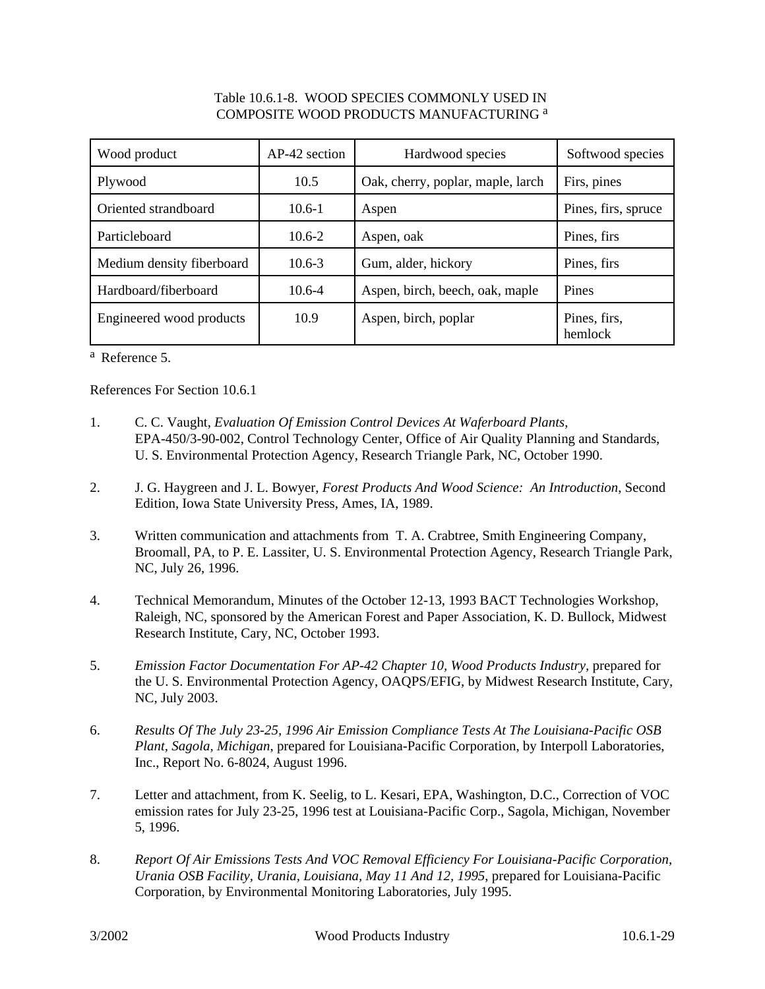#### Table 10.6.1-8. WOOD SPECIES COMMONLY USED IN COMPOSITE WOOD PRODUCTS MANUFACTURING <sup>a</sup>

| Wood product              | AP-42 section | Hardwood species                  | Softwood species        |
|---------------------------|---------------|-----------------------------------|-------------------------|
| Plywood                   | 10.5          | Oak, cherry, poplar, maple, larch | Firs, pines             |
| Oriented strandboard      | $10.6 - 1$    | Aspen                             | Pines, firs, spruce     |
| Particleboard             | $10.6 - 2$    | Aspen, oak                        | Pines, firs             |
| Medium density fiberboard | $10.6 - 3$    | Gum, alder, hickory               | Pines, firs             |
| Hardboard/fiberboard      | $10.6 - 4$    | Aspen, birch, beech, oak, maple   | Pines                   |
| Engineered wood products  | 10.9          | Aspen, birch, poplar              | Pines, firs,<br>hemlock |

<sup>a</sup> Reference 5.

References For Section 10.6.1

- 1. C. C. Vaught, *Evaluation Of Emission Control Devices At Waferboard Plants*, EPA-450/3-90-002, Control Technology Center, Office of Air Quality Planning and Standards, U. S. Environmental Protection Agency, Research Triangle Park, NC, October 1990.
- 2. J. G. Haygreen and J. L. Bowyer, *Forest Products And Wood Science: An Introduction*, Second Edition, Iowa State University Press, Ames, IA, 1989.
- 3. Written communication and attachments from T. A. Crabtree, Smith Engineering Company, Broomall, PA, to P. E. Lassiter, U. S. Environmental Protection Agency, Research Triangle Park, NC, July 26, 1996.
- 4. Technical Memorandum, Minutes of the October 12-13, 1993 BACT Technologies Workshop, Raleigh, NC, sponsored by the American Forest and Paper Association, K. D. Bullock, Midwest Research Institute, Cary, NC, October 1993.
- 5. *Emission Factor Documentation For AP-42 Chapter 10, Wood Products Industry, prepared for* the U. S. Environmental Protection Agency, OAQPS/EFIG, by Midwest Research Institute, Cary, NC, July 2003.
- 6. *Results Of The July 23-25, 1996 Air Emission Compliance Tests At The Louisiana-Pacific OSB Plant, Sagola, Michigan*, prepared for Louisiana-Pacific Corporation, by Interpoll Laboratories, Inc., Report No. 6-8024, August 1996.
- 7. Letter and attachment, from K. Seelig, to L. Kesari, EPA, Washington, D.C., Correction of VOC emission rates for July 23-25, 1996 test at Louisiana-Pacific Corp., Sagola, Michigan, November 5, 1996.
- 8. *Report Of Air Emissions Tests And VOC Removal Efficiency For Louisiana-Pacific Corporation, Urania OSB Facility, Urania, Louisiana, May 11 And 12, 1995*, prepared for Louisiana-Pacific Corporation, by Environmental Monitoring Laboratories, July 1995.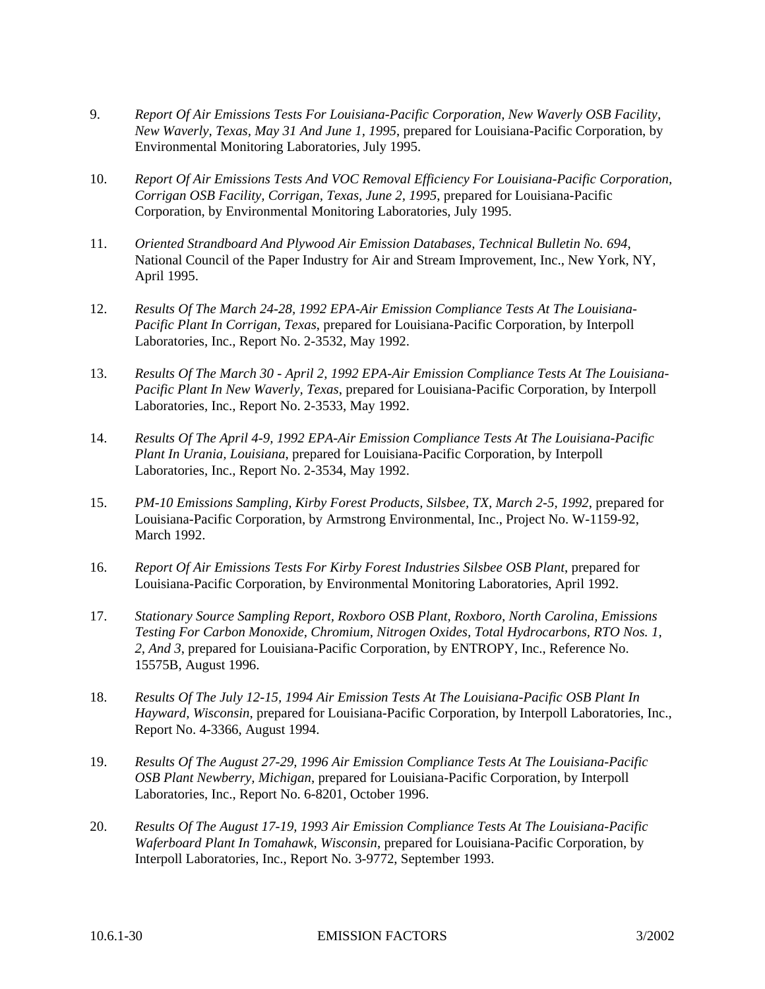- 9. *Report Of Air Emissions Tests For Louisiana-Pacific Corporation, New Waverly OSB Facility, New Waverly, Texas, May 31 And June 1, 1995*, prepared for Louisiana-Pacific Corporation, by Environmental Monitoring Laboratories, July 1995.
- 10. *Report Of Air Emissions Tests And VOC Removal Efficiency For Louisiana-Pacific Corporation, Corrigan OSB Facility, Corrigan, Texas, June 2, 1995*, prepared for Louisiana-Pacific Corporation, by Environmental Monitoring Laboratories, July 1995.
- 11. *Oriented Strandboard And Plywood Air Emission Databases, Technical Bulletin No. 694*, National Council of the Paper Industry for Air and Stream Improvement, Inc., New York, NY, April 1995.
- 12. *Results Of The March 24-28, 1992 EPA-Air Emission Compliance Tests At The Louisiana-Pacific Plant In Corrigan, Texas*, prepared for Louisiana-Pacific Corporation, by Interpoll Laboratories, Inc., Report No. 2-3532, May 1992.
- 13. *Results Of The March 30 April 2, 1992 EPA-Air Emission Compliance Tests At The Louisiana-Pacific Plant In New Waverly, Texas*, prepared for Louisiana-Pacific Corporation, by Interpoll Laboratories, Inc., Report No. 2-3533, May 1992.
- 14. *Results Of The April 4-9, 1992 EPA-Air Emission Compliance Tests At The Louisiana-Pacific Plant In Urania, Louisiana*, prepared for Louisiana-Pacific Corporation, by Interpoll Laboratories, Inc., Report No. 2-3534, May 1992.
- 15. *PM-10 Emissions Sampling, Kirby Forest Products, Silsbee, TX, March 2-5, 1992*, prepared for Louisiana-Pacific Corporation, by Armstrong Environmental, Inc., Project No. W-1159-92, March 1992.
- 16. *Report Of Air Emissions Tests For Kirby Forest Industries Silsbee OSB Plant*, prepared for Louisiana-Pacific Corporation, by Environmental Monitoring Laboratories, April 1992.
- 17. *Stationary Source Sampling Report, Roxboro OSB Plant, Roxboro, North Carolina, Emissions Testing For Carbon Monoxide, Chromium, Nitrogen Oxides, Total Hydrocarbons, RTO Nos. 1, 2, And 3*, prepared for Louisiana-Pacific Corporation, by ENTROPY, Inc., Reference No. 15575B, August 1996.
- 18. *Results Of The July 12-15, 1994 Air Emission Tests At The Louisiana-Pacific OSB Plant In Hayward, Wisconsin*, prepared for Louisiana-Pacific Corporation, by Interpoll Laboratories, Inc., Report No. 4-3366, August 1994.
- 19. *Results Of The August 27-29, 1996 Air Emission Compliance Tests At The Louisiana-Pacific OSB Plant Newberry, Michigan*, prepared for Louisiana-Pacific Corporation, by Interpoll Laboratories, Inc., Report No. 6-8201, October 1996.
- 20. *Results Of The August 17-19, 1993 Air Emission Compliance Tests At The Louisiana-Pacific Waferboard Plant In Tomahawk, Wisconsin*, prepared for Louisiana-Pacific Corporation, by Interpoll Laboratories, Inc., Report No. 3-9772, September 1993.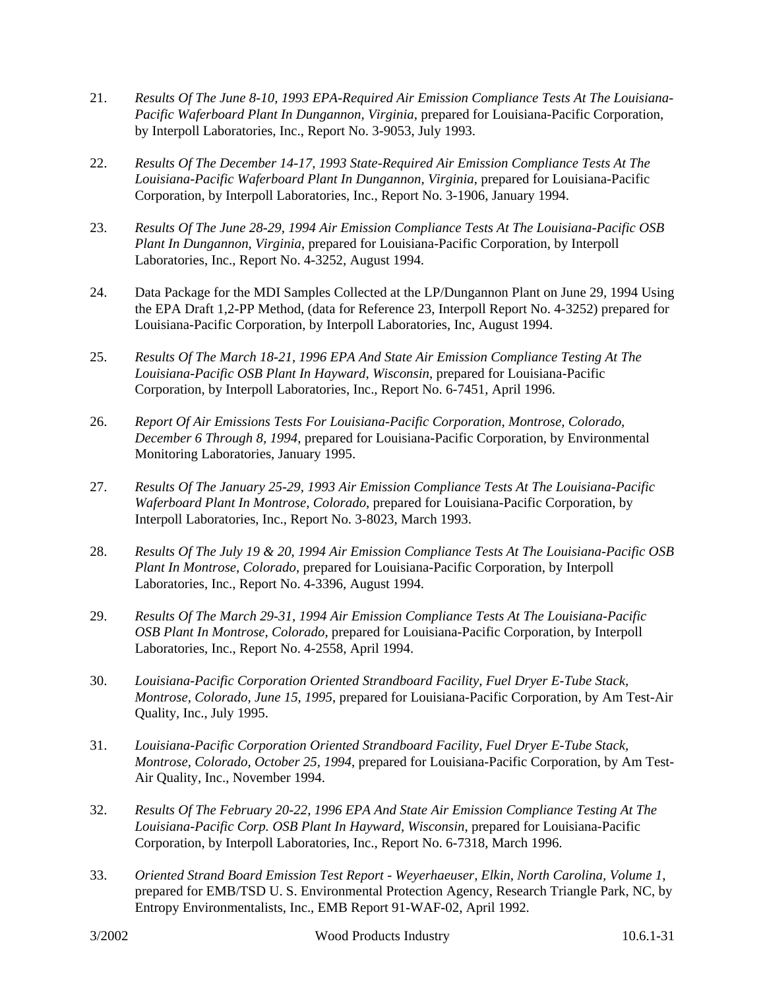- 21. *Results Of The June 8-10, 1993 EPA-Required Air Emission Compliance Tests At The Louisiana-Pacific Waferboard Plant In Dungannon, Virginia,* prepared for Louisiana-Pacific Corporation, by Interpoll Laboratories, Inc., Report No. 3-9053, July 1993.
- 22. *Results Of The December 14-17, 1993 State-Required Air Emission Compliance Tests At The Louisiana-Pacific Waferboard Plant In Dungannon, Virginia*, prepared for Louisiana-Pacific Corporation, by Interpoll Laboratories, Inc., Report No. 3-1906, January 1994.
- 23. *Results Of The June 28-29, 1994 Air Emission Compliance Tests At The Louisiana-Pacific OSB Plant In Dungannon, Virginia*, prepared for Louisiana-Pacific Corporation, by Interpoll Laboratories, Inc., Report No. 4-3252, August 1994.
- 24. Data Package for the MDI Samples Collected at the LP/Dungannon Plant on June 29, 1994 Using the EPA Draft 1,2-PP Method, (data for Reference 23, Interpoll Report No. 4-3252) prepared for Louisiana-Pacific Corporation, by Interpoll Laboratories, Inc, August 1994.
- 25. *Results Of The March 18-21, 1996 EPA And State Air Emission Compliance Testing At The Louisiana-Pacific OSB Plant In Hayward, Wisconsin*, prepared for Louisiana-Pacific Corporation, by Interpoll Laboratories, Inc., Report No. 6-7451, April 1996.
- 26. *Report Of Air Emissions Tests For Louisiana-Pacific Corporation, Montrose, Colorado, December 6 Through 8, 1994*, prepared for Louisiana-Pacific Corporation, by Environmental Monitoring Laboratories, January 1995.
- 27. *Results Of The January 25-29, 1993 Air Emission Compliance Tests At The Louisiana-Pacific Waferboard Plant In Montrose, Colorado*, prepared for Louisiana-Pacific Corporation, by Interpoll Laboratories, Inc., Report No. 3-8023, March 1993.
- 28. *Results Of The July 19 & 20, 1994 Air Emission Compliance Tests At The Louisiana-Pacific OSB Plant In Montrose, Colorado*, prepared for Louisiana-Pacific Corporation, by Interpoll Laboratories, Inc., Report No. 4-3396, August 1994.
- 29. *Results Of The March 29-31, 1994 Air Emission Compliance Tests At The Louisiana-Pacific OSB Plant In Montrose, Colorado*, prepared for Louisiana-Pacific Corporation, by Interpoll Laboratories, Inc., Report No. 4-2558, April 1994.
- 30. *Louisiana-Pacific Corporation Oriented Strandboard Facility, Fuel Dryer E-Tube Stack, Montrose, Colorado, June 15, 1995*, prepared for Louisiana-Pacific Corporation, by Am Test-Air Quality, Inc., July 1995.
- 31. *Louisiana-Pacific Corporation Oriented Strandboard Facility, Fuel Dryer E-Tube Stack, Montrose, Colorado, October 25, 1994*, prepared for Louisiana-Pacific Corporation, by Am Test-Air Quality, Inc., November 1994.
- 32. *Results Of The February 20-22, 1996 EPA And State Air Emission Compliance Testing At The Louisiana-Pacific Corp. OSB Plant In Hayward, Wisconsin*, prepared for Louisiana-Pacific Corporation, by Interpoll Laboratories, Inc., Report No. 6-7318, March 1996.
- 33. *Oriented Strand Board Emission Test Report Weyerhaeuser, Elkin, North Carolina, Volume 1*, prepared for EMB/TSD U. S. Environmental Protection Agency, Research Triangle Park, NC, by Entropy Environmentalists, Inc., EMB Report 91-WAF-02, April 1992.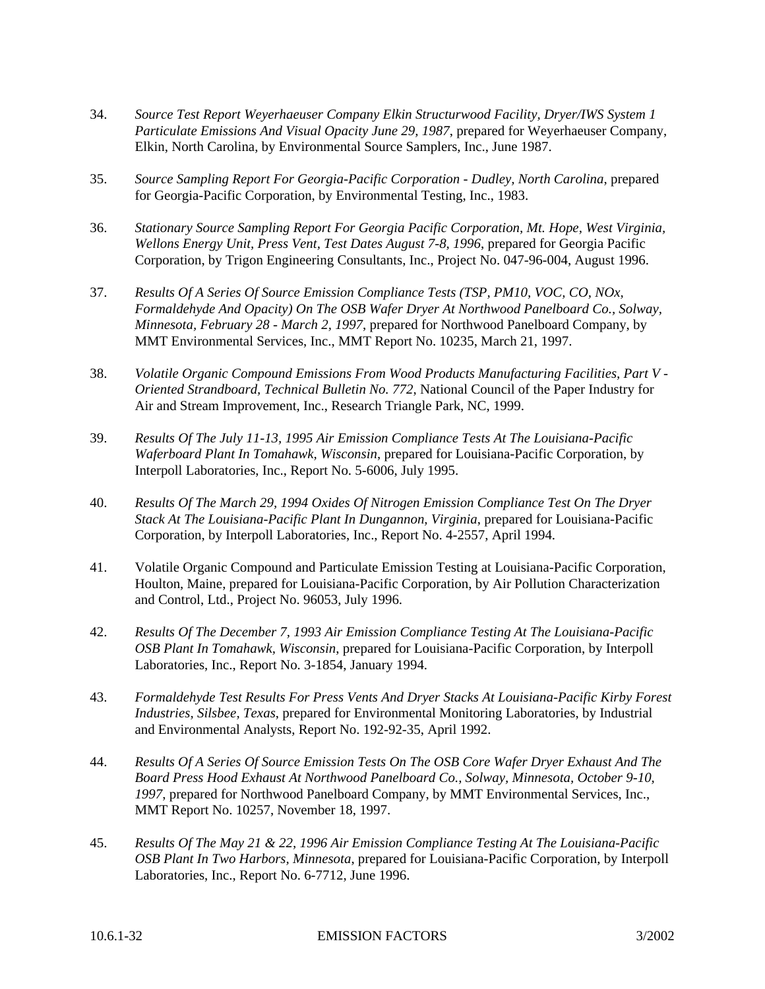- 34. *Source Test Report Weyerhaeuser Company Elkin Structurwood Facility, Dryer/IWS System 1 Particulate Emissions And Visual Opacity June 29, 1987*, prepared for Weyerhaeuser Company, Elkin, North Carolina, by Environmental Source Samplers, Inc., June 1987.
- 35. *Source Sampling Report For Georgia-Pacific Corporation Dudley, North Carolina*, prepared for Georgia-Pacific Corporation, by Environmental Testing, Inc., 1983.
- 36. *Stationary Source Sampling Report For Georgia Pacific Corporation, Mt. Hope, West Virginia, Wellons Energy Unit, Press Vent, Test Dates August 7-8, 1996*, prepared for Georgia Pacific Corporation, by Trigon Engineering Consultants, Inc., Project No. 047-96-004, August 1996.
- 37. *Results Of A Series Of Source Emission Compliance Tests (TSP, PM10, VOC, CO, NOx, Formaldehyde And Opacity) On The OSB Wafer Dryer At Northwood Panelboard Co., Solway, Minnesota, February 28 - March 2, 1997*, prepared for Northwood Panelboard Company, by MMT Environmental Services, Inc., MMT Report No. 10235, March 21, 1997.
- 38. *Volatile Organic Compound Emissions From Wood Products Manufacturing Facilities, Part V - Oriented Strandboard, Technical Bulletin No. 772*, National Council of the Paper Industry for Air and Stream Improvement, Inc., Research Triangle Park, NC, 1999.
- 39. *Results Of The July 11-13, 1995 Air Emission Compliance Tests At The Louisiana-Pacific Waferboard Plant In Tomahawk, Wisconsin*, prepared for Louisiana-Pacific Corporation, by Interpoll Laboratories, Inc., Report No. 5-6006, July 1995.
- 40. *Results Of The March 29, 1994 Oxides Of Nitrogen Emission Compliance Test On The Dryer Stack At The Louisiana-Pacific Plant In Dungannon, Virginia*, prepared for Louisiana-Pacific Corporation, by Interpoll Laboratories, Inc., Report No. 4-2557, April 1994.
- 41. Volatile Organic Compound and Particulate Emission Testing at Louisiana-Pacific Corporation, Houlton, Maine, prepared for Louisiana-Pacific Corporation, by Air Pollution Characterization and Control, Ltd., Project No. 96053, July 1996.
- 42. *Results Of The December 7, 1993 Air Emission Compliance Testing At The Louisiana-Pacific OSB Plant In Tomahawk, Wisconsin*, prepared for Louisiana-Pacific Corporation, by Interpoll Laboratories, Inc., Report No. 3-1854, January 1994.
- 43. *Formaldehyde Test Results For Press Vents And Dryer Stacks At Louisiana-Pacific Kirby Forest Industries, Silsbee, Texas*, prepared for Environmental Monitoring Laboratories, by Industrial and Environmental Analysts, Report No. 192-92-35, April 1992.
- 44. *Results Of A Series Of Source Emission Tests On The OSB Core Wafer Dryer Exhaust And The Board Press Hood Exhaust At Northwood Panelboard Co., Solway, Minnesota, October 9-10, 1997*, prepared for Northwood Panelboard Company, by MMT Environmental Services, Inc., MMT Report No. 10257, November 18, 1997.
- 45. *Results Of The May 21 & 22, 1996 Air Emission Compliance Testing At The Louisiana-Pacific OSB Plant In Two Harbors, Minnesota*, prepared for Louisiana-Pacific Corporation, by Interpoll Laboratories, Inc., Report No. 6-7712, June 1996.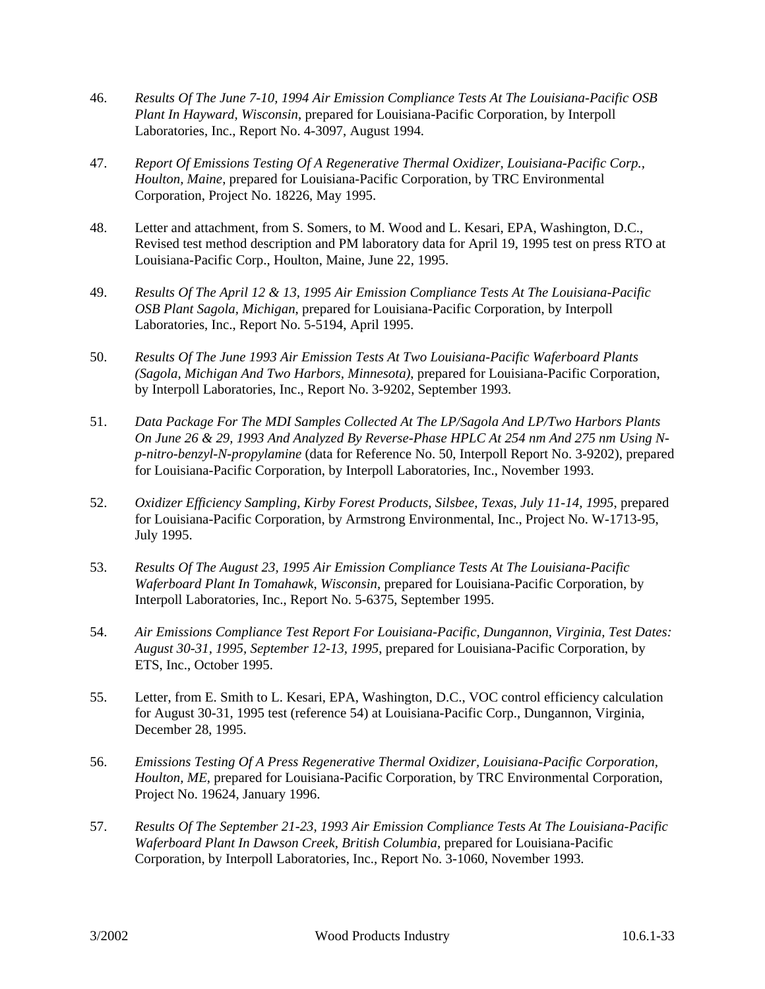- 46. *Results Of The June 7-10, 1994 Air Emission Compliance Tests At The Louisiana-Pacific OSB Plant In Hayward, Wisconsin*, prepared for Louisiana-Pacific Corporation, by Interpoll Laboratories, Inc., Report No. 4-3097, August 1994.
- 47. *Report Of Emissions Testing Of A Regenerative Thermal Oxidizer, Louisiana-Pacific Corp., Houlton, Maine*, prepared for Louisiana-Pacific Corporation, by TRC Environmental Corporation, Project No. 18226, May 1995.
- 48. Letter and attachment, from S. Somers, to M. Wood and L. Kesari, EPA, Washington, D.C., Revised test method description and PM laboratory data for April 19, 1995 test on press RTO at Louisiana-Pacific Corp., Houlton, Maine, June 22, 1995.
- 49. *Results Of The April 12 & 13, 1995 Air Emission Compliance Tests At The Louisiana-Pacific OSB Plant Sagola, Michigan*, prepared for Louisiana-Pacific Corporation, by Interpoll Laboratories, Inc., Report No. 5-5194, April 1995.
- 50. *Results Of The June 1993 Air Emission Tests At Two Louisiana-Pacific Waferboard Plants (Sagola, Michigan And Two Harbors, Minnesota)*, prepared for Louisiana-Pacific Corporation, by Interpoll Laboratories, Inc., Report No. 3-9202, September 1993.
- 51. *Data Package For The MDI Samples Collected At The LP/Sagola And LP/Two Harbors Plants On June 26 & 29, 1993 And Analyzed By Reverse-Phase HPLC At 254 nm And 275 nm Using Np-nitro-benzyl-N-propylamine* (data for Reference No. 50, Interpoll Report No. 3-9202), prepared for Louisiana-Pacific Corporation, by Interpoll Laboratories, Inc., November 1993.
- 52. *Oxidizer Efficiency Sampling, Kirby Forest Products, Silsbee, Texas, July 11-14, 1995*, prepared for Louisiana-Pacific Corporation, by Armstrong Environmental, Inc., Project No. W-1713-95, July 1995.
- 53. *Results Of The August 23, 1995 Air Emission Compliance Tests At The Louisiana-Pacific Waferboard Plant In Tomahawk, Wisconsin*, prepared for Louisiana-Pacific Corporation, by Interpoll Laboratories, Inc., Report No. 5-6375, September 1995.
- 54. *Air Emissions Compliance Test Report For Louisiana-Pacific, Dungannon, Virginia, Test Dates: August 30-31, 1995, September 12-13, 1995*, prepared for Louisiana-Pacific Corporation, by ETS, Inc., October 1995.
- 55. Letter, from E. Smith to L. Kesari, EPA, Washington, D.C., VOC control efficiency calculation for August 30-31, 1995 test (reference 54) at Louisiana-Pacific Corp., Dungannon, Virginia, December 28, 1995.
- 56. *Emissions Testing Of A Press Regenerative Thermal Oxidizer, Louisiana-Pacific Corporation, Houlton, ME*, prepared for Louisiana-Pacific Corporation, by TRC Environmental Corporation, Project No. 19624, January 1996.
- 57. *Results Of The September 21-23, 1993 Air Emission Compliance Tests At The Louisiana-Pacific Waferboard Plant In Dawson Creek, British Columbia*, prepared for Louisiana-Pacific Corporation, by Interpoll Laboratories, Inc., Report No. 3-1060, November 1993.